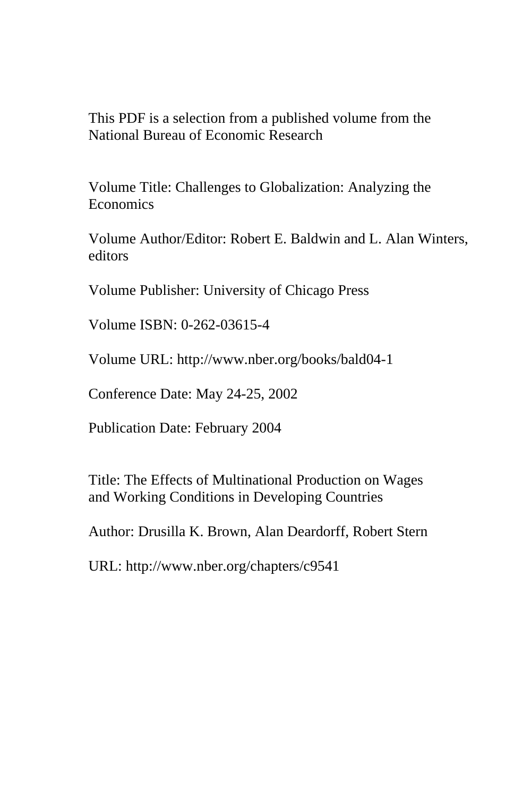This PDF is a selection from a published volume from the National Bureau of Economic Research

Volume Title: Challenges to Globalization: Analyzing the **Economics** 

Volume Author/Editor: Robert E. Baldwin and L. Alan Winters, editors

Volume Publisher: University of Chicago Press

Volume ISBN: 0-262-03615-4

Volume URL: http://www.nber.org/books/bald04-1

Conference Date: May 24-25, 2002

Publication Date: February 2004

Title: The Effects of Multinational Production on Wages and Working Conditions in Developing Countries

Author: Drusilla K. Brown, Alan Deardorff, Robert Stern

URL: http://www.nber.org/chapters/c9541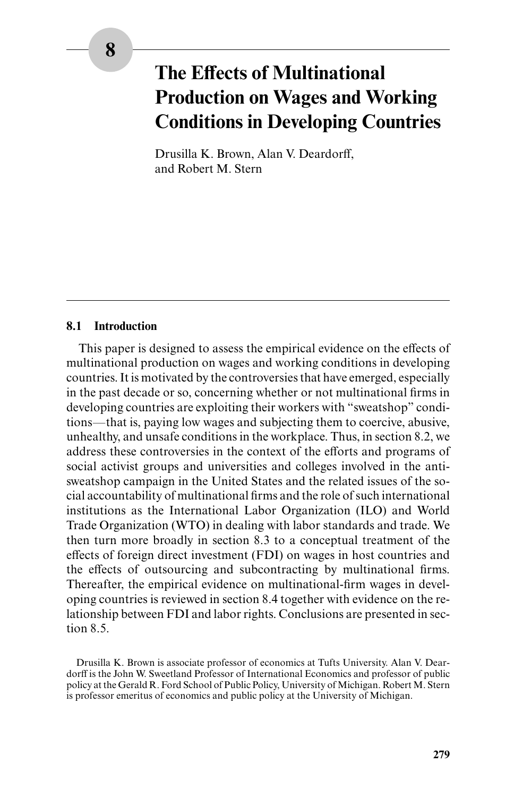# **The Effects of Multinational Production on Wages and Working Conditions in Developing Countries**

Drusilla K. Brown, Alan V. Deardorff, and Robert M. Stern

## **8.1 Introduction**

This paper is designed to assess the empirical evidence on the effects of multinational production on wages and working conditions in developing countries. It is motivated by the controversies that have emerged, especially in the past decade or so, concerning whether or not multinational firms in developing countries are exploiting their workers with "sweatshop" conditions—that is, paying low wages and subjecting them to coercive, abusive, unhealthy, and unsafe conditions in the workplace. Thus, in section 8.2, we address these controversies in the context of the efforts and programs of social activist groups and universities and colleges involved in the antisweatshop campaign in the United States and the related issues of the social accountability of multinational firms and the role of such international institutions as the International Labor Organization (ILO) and World Trade Organization (WTO) in dealing with labor standards and trade. We then turn more broadly in section 8.3 to a conceptual treatment of the effects of foreign direct investment (FDI) on wages in host countries and the effects of outsourcing and subcontracting by multinational firms. Thereafter, the empirical evidence on multinational-firm wages in developing countries is reviewed in section 8.4 together with evidence on the relationship between FDI and labor rights. Conclusions are presented in section 8.5.

Drusilla K. Brown is associate professor of economics at Tufts University. Alan V. Deardorff is the John W. Sweetland Professor of International Economics and professor of public policy at the Gerald R. Ford School of Public Policy, University of Michigan. Robert M. Stern is professor emeritus of economics and public policy at the University of Michigan.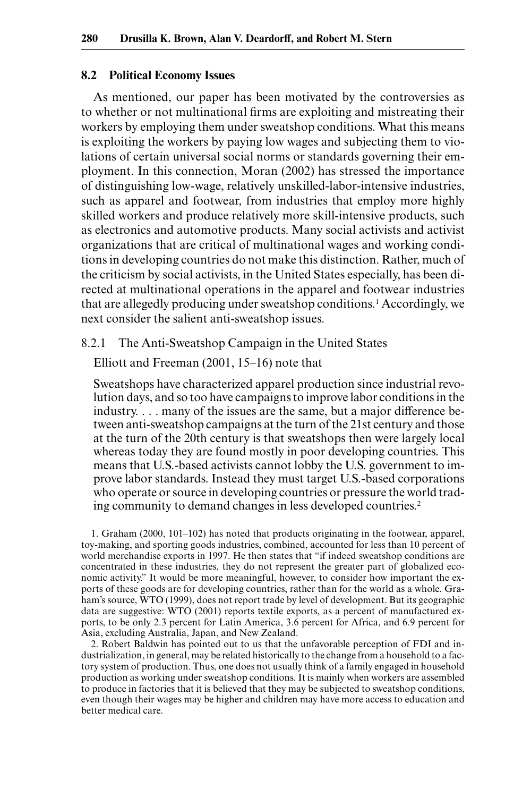# **8.2 Political Economy Issues**

As mentioned, our paper has been motivated by the controversies as to whether or not multinational firms are exploiting and mistreating their workers by employing them under sweatshop conditions. What this means is exploiting the workers by paying low wages and subjecting them to violations of certain universal social norms or standards governing their employment. In this connection, Moran (2002) has stressed the importance of distinguishing low-wage, relatively unskilled-labor-intensive industries, such as apparel and footwear, from industries that employ more highly skilled workers and produce relatively more skill-intensive products, such as electronics and automotive products. Many social activists and activist organizations that are critical of multinational wages and working conditions in developing countries do not make this distinction. Rather, much of the criticism by social activists, in the United States especially, has been directed at multinational operations in the apparel and footwear industries that are allegedly producing under sweatshop conditions.1 Accordingly, we next consider the salient anti-sweatshop issues.

# 8.2.1 The Anti-Sweatshop Campaign in the United States

Elliott and Freeman (2001, 15–16) note that

Sweatshops have characterized apparel production since industrial revolution days, and so too have campaigns to improve labor conditions in the industry. . . . many of the issues are the same, but a major difference between anti-sweatshop campaigns at the turn of the 21st century and those at the turn of the 20th century is that sweatshops then were largely local whereas today they are found mostly in poor developing countries. This means that U.S.-based activists cannot lobby the U.S. government to improve labor standards. Instead they must target U.S.-based corporations who operate or source in developing countries or pressure the world trading community to demand changes in less developed countries.<sup>2</sup>

1. Graham (2000, 101–102) has noted that products originating in the footwear, apparel, toy-making, and sporting goods industries, combined, accounted for less than 10 percent of world merchandise exports in 1997. He then states that "if indeed sweatshop conditions are concentrated in these industries, they do not represent the greater part of globalized economic activity." It would be more meaningful, however, to consider how important the exports of these goods are for developing countries, rather than for the world as a whole. Graham's source, WTO (1999), does not report trade by level of development. But its geographic data are suggestive: WTO (2001) reports textile exports, as a percent of manufactured exports, to be only 2.3 percent for Latin America, 3.6 percent for Africa, and 6.9 percent for Asia, excluding Australia, Japan, and New Zealand.

2. Robert Baldwin has pointed out to us that the unfavorable perception of FDI and industrialization, in general, may be related historically to the change from a household to a factory system of production. Thus, one does not usually think of a family engaged in household production as working under sweatshop conditions. It is mainly when workers are assembled to produce in factories that it is believed that they may be subjected to sweatshop conditions, even though their wages may be higher and children may have more access to education and better medical care.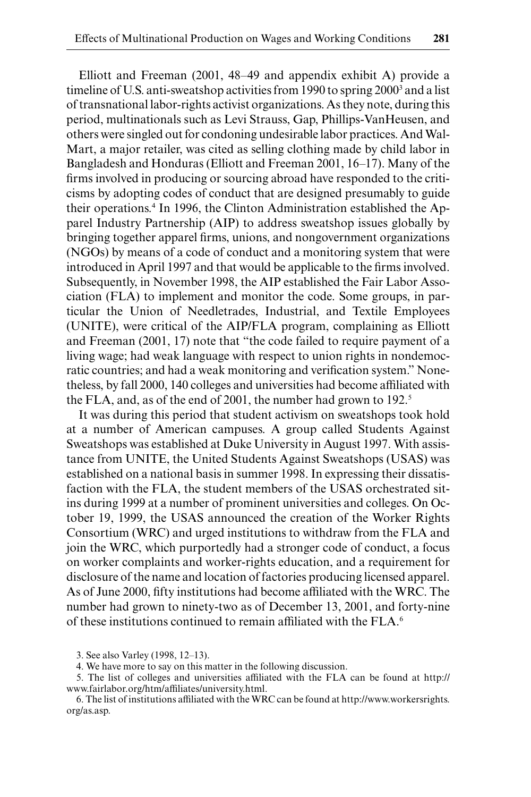Elliott and Freeman (2001, 48–49 and appendix exhibit A) provide a timeline of U.S. anti-sweatshop activities from 1990 to spring 2000<sup>3</sup> and a list of transnational labor-rights activist organizations. As they note, during this period, multinationals such as Levi Strauss, Gap, Phillips-VanHeusen, and others were singled out for condoning undesirable labor practices. And Wal-Mart, a major retailer, was cited as selling clothing made by child labor in Bangladesh and Honduras (Elliott and Freeman 2001, 16–17). Many of the firms involved in producing or sourcing abroad have responded to the criticisms by adopting codes of conduct that are designed presumably to guide their operations.4 In 1996, the Clinton Administration established the Apparel Industry Partnership (AIP) to address sweatshop issues globally by bringing together apparel firms, unions, and nongovernment organizations (NGOs) by means of a code of conduct and a monitoring system that were introduced in April 1997 and that would be applicable to the firms involved. Subsequently, in November 1998, the AIP established the Fair Labor Association (FLA) to implement and monitor the code. Some groups, in particular the Union of Needletrades, Industrial, and Textile Employees (UNITE), were critical of the AIP/FLA program, complaining as Elliott and Freeman (2001, 17) note that "the code failed to require payment of a living wage; had weak language with respect to union rights in nondemocratic countries; and had a weak monitoring and verification system." Nonetheless, by fall 2000, 140 colleges and universities had become affiliated with the FLA, and, as of the end of 2001, the number had grown to 192.<sup>5</sup>

It was during this period that student activism on sweatshops took hold at a number of American campuses. A group called Students Against Sweatshops was established at Duke University in August 1997. With assistance from UNITE, the United Students Against Sweatshops (USAS) was established on a national basis in summer 1998. In expressing their dissatisfaction with the FLA, the student members of the USAS orchestrated sitins during 1999 at a number of prominent universities and colleges. On October 19, 1999, the USAS announced the creation of the Worker Rights Consortium (WRC) and urged institutions to withdraw from the FLA and join the WRC, which purportedly had a stronger code of conduct, a focus on worker complaints and worker-rights education, and a requirement for disclosure of the name and location of factories producing licensed apparel. As of June 2000, fifty institutions had become affiliated with the WRC. The number had grown to ninety-two as of December 13, 2001, and forty-nine of these institutions continued to remain affiliated with the FLA.6

3. See also Varley (1998, 12–13).

5. The list of colleges and universities affiliated with the FLA can be found at http:// www.fairlabor.org/htm/affiliates/university.html.

6. The list of institutions affiliated with the WRC can be found at http://www.workersrights. org/as.asp.

<sup>4.</sup> We have more to say on this matter in the following discussion.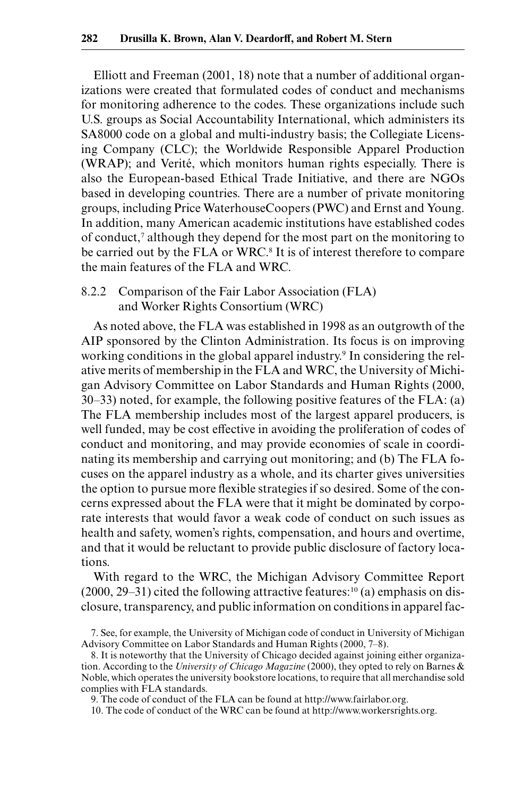Elliott and Freeman (2001, 18) note that a number of additional organizations were created that formulated codes of conduct and mechanisms for monitoring adherence to the codes. These organizations include such U.S. groups as Social Accountability International, which administers its SA8000 code on a global and multi-industry basis; the Collegiate Licensing Company (CLC); the Worldwide Responsible Apparel Production (WRAP); and Verité, which monitors human rights especially. There is also the European-based Ethical Trade Initiative, and there are NGOs based in developing countries. There are a number of private monitoring groups, including Price WaterhouseCoopers (PWC) and Ernst and Young. In addition, many American academic institutions have established codes of conduct,7 although they depend for the most part on the monitoring to be carried out by the FLA or WRC.<sup>8</sup> It is of interest therefore to compare the main features of the FLA and WRC.

8.2.2 Comparison of the Fair Labor Association (FLA) and Worker Rights Consortium (WRC)

As noted above, the FLA was established in 1998 as an outgrowth of the AIP sponsored by the Clinton Administration. Its focus is on improving working conditions in the global apparel industry.<sup>9</sup> In considering the relative merits of membership in the FLA and WRC, the University of Michigan Advisory Committee on Labor Standards and Human Rights (2000, 30–33) noted, for example, the following positive features of the FLA: (a) The FLA membership includes most of the largest apparel producers, is well funded, may be cost effective in avoiding the proliferation of codes of conduct and monitoring, and may provide economies of scale in coordinating its membership and carrying out monitoring; and (b) The FLA focuses on the apparel industry as a whole, and its charter gives universities the option to pursue more flexible strategies if so desired. Some of the concerns expressed about the FLA were that it might be dominated by corporate interests that would favor a weak code of conduct on such issues as health and safety, women's rights, compensation, and hours and overtime, and that it would be reluctant to provide public disclosure of factory locations.

With regard to the WRC, the Michigan Advisory Committee Report (2000, 29–31) cited the following attractive features:<sup>10</sup> (a) emphasis on disclosure, transparency, and public information on conditions in apparel fac-

<sup>7.</sup> See, for example, the University of Michigan code of conduct in University of Michigan Advisory Committee on Labor Standards and Human Rights (2000, 7–8).

<sup>8.</sup> It is noteworthy that the University of Chicago decided against joining either organization. According to the *University of Chicago Magazine* (2000), they opted to rely on Barnes & Noble, which operates the university bookstore locations, to require that all merchandise sold complies with FLA standards.

<sup>9.</sup> The code of conduct of the FLA can be found at http://www.fairlabor.org.

<sup>10.</sup> The code of conduct of the WRC can be found at http://www.workersrights.org.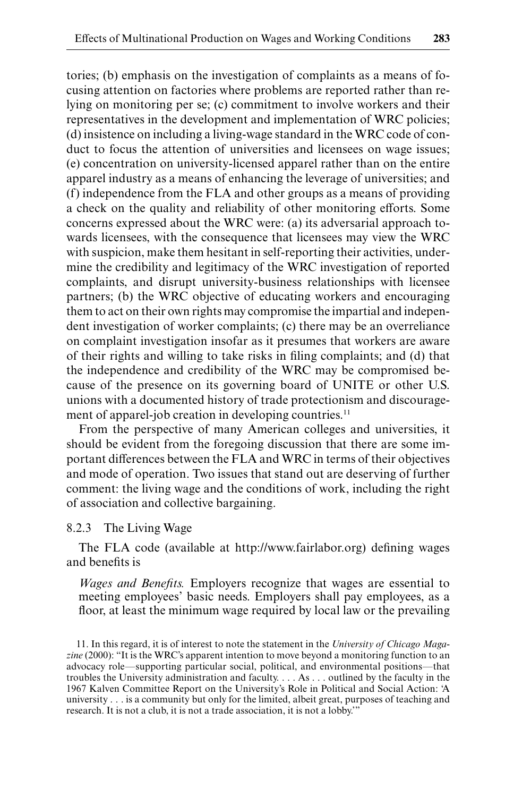tories; (b) emphasis on the investigation of complaints as a means of focusing attention on factories where problems are reported rather than relying on monitoring per se; (c) commitment to involve workers and their representatives in the development and implementation of WRC policies; (d) insistence on including a living-wage standard in the WRC code of conduct to focus the attention of universities and licensees on wage issues; (e) concentration on university-licensed apparel rather than on the entire apparel industry as a means of enhancing the leverage of universities; and (f) independence from the FLA and other groups as a means of providing a check on the quality and reliability of other monitoring efforts. Some concerns expressed about the WRC were: (a) its adversarial approach towards licensees, with the consequence that licensees may view the WRC with suspicion, make them hesitant in self-reporting their activities, undermine the credibility and legitimacy of the WRC investigation of reported complaints, and disrupt university-business relationships with licensee partners; (b) the WRC objective of educating workers and encouraging them to act on their own rights may compromise the impartial and independent investigation of worker complaints; (c) there may be an overreliance on complaint investigation insofar as it presumes that workers are aware of their rights and willing to take risks in filing complaints; and (d) that the independence and credibility of the WRC may be compromised because of the presence on its governing board of UNITE or other U.S. unions with a documented history of trade protectionism and discouragement of apparel-job creation in developing countries.<sup>11</sup>

From the perspective of many American colleges and universities, it should be evident from the foregoing discussion that there are some important differences between the FLA and WRC in terms of their objectives and mode of operation. Two issues that stand out are deserving of further comment: the living wage and the conditions of work, including the right of association and collective bargaining.

# 8.2.3 The Living Wage

The FLA code (available at http://www.fairlabor.org) defining wages and benefits is

*Wages and Benefits.* Employers recognize that wages are essential to meeting employees' basic needs. Employers shall pay employees, as a floor, at least the minimum wage required by local law or the prevailing

<sup>11.</sup> In this regard, it is of interest to note the statement in the *University of Chicago Magazine* (2000): "It is the WRC's apparent intention to move beyond a monitoring function to an advocacy role—supporting particular social, political, and environmental positions—that troubles the University administration and faculty. . . . As . . . outlined by the faculty in the 1967 Kalven Committee Report on the University's Role in Political and Social Action: 'A university . . . is a community but only for the limited, albeit great, purposes of teaching and research. It is not a club, it is not a trade association, it is not a lobby.'"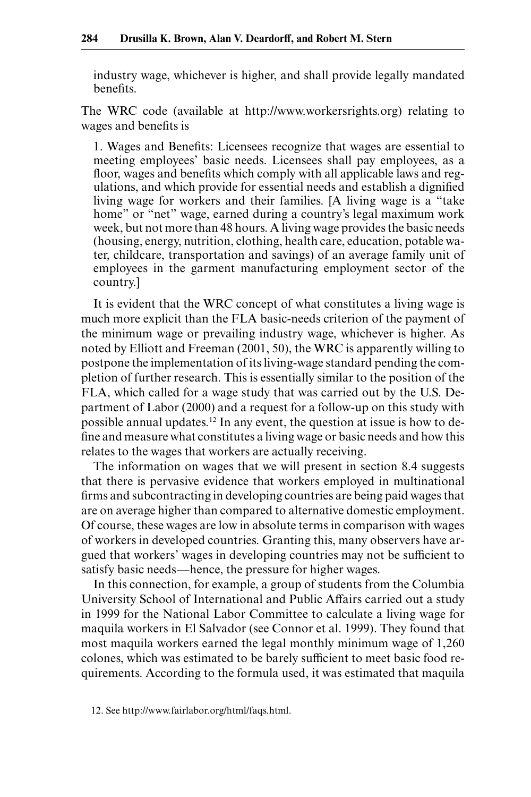industry wage, whichever is higher, and shall provide legally mandated benefits.

The WRC code (available at http://www.workersrights.org) relating to wages and benefits is

1. Wages and Benefits: Licensees recognize that wages are essential to meeting employees' basic needs. Licensees shall pay employees, as a floor, wages and benefits which comply with all applicable laws and regulations, and which provide for essential needs and establish a dignified living wage for workers and their families. [A living wage is a "take home" or "net" wage, earned during a country's legal maximum work week, but not more than 48 hours. A living wage provides the basic needs (housing, energy, nutrition, clothing, health care, education, potable water, childcare, transportation and savings) of an average family unit of employees in the garment manufacturing employment sector of the country.]

It is evident that the WRC concept of what constitutes a living wage is much more explicit than the FLA basic-needs criterion of the payment of the minimum wage or prevailing industry wage, whichever is higher. As noted by Elliott and Freeman (2001, 50), the WRC is apparently willing to postpone the implementation of its living-wage standard pending the completion of further research. This is essentially similar to the position of the FLA, which called for a wage study that was carried out by the U.S. Department of Labor (2000) and a request for a follow-up on this study with possible annual updates.12 In any event, the question at issue is how to define and measure what constitutes a living wage or basic needs and how this relates to the wages that workers are actually receiving.

The information on wages that we will present in section 8.4 suggests that there is pervasive evidence that workers employed in multinational firms and subcontracting in developing countries are being paid wages that are on average higher than compared to alternative domestic employment. Of course, these wages are low in absolute terms in comparison with wages of workers in developed countries. Granting this, many observers have argued that workers' wages in developing countries may not be sufficient to satisfy basic needs—hence, the pressure for higher wages.

In this connection, for example, a group of students from the Columbia University School of International and Public Affairs carried out a study in 1999 for the National Labor Committee to calculate a living wage for maquila workers in El Salvador (see Connor et al. 1999). They found that most maquila workers earned the legal monthly minimum wage of 1,260 colones, which was estimated to be barely sufficient to meet basic food requirements. According to the formula used, it was estimated that maquila

<sup>12.</sup> See http://www.fairlabor.org/html/faqs.html.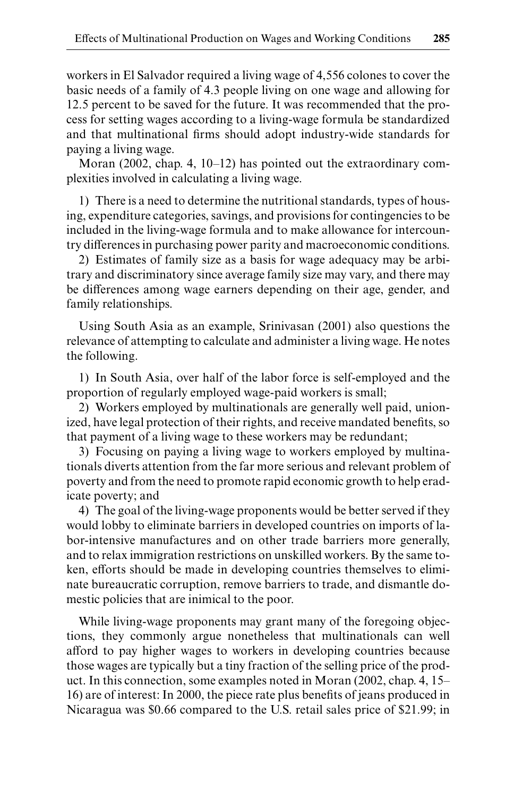workers in El Salvador required a living wage of 4,556 colones to cover the basic needs of a family of 4.3 people living on one wage and allowing for 12.5 percent to be saved for the future. It was recommended that the process for setting wages according to a living-wage formula be standardized and that multinational firms should adopt industry-wide standards for paying a living wage.

Moran (2002, chap. 4, 10–12) has pointed out the extraordinary complexities involved in calculating a living wage.

1) There is a need to determine the nutritional standards, types of housing, expenditure categories, savings, and provisions for contingencies to be included in the living-wage formula and to make allowance for intercountry differences in purchasing power parity and macroeconomic conditions.

2) Estimates of family size as a basis for wage adequacy may be arbitrary and discriminatory since average family size may vary, and there may be differences among wage earners depending on their age, gender, and family relationships.

Using South Asia as an example, Srinivasan (2001) also questions the relevance of attempting to calculate and administer a living wage. He notes the following.

1) In South Asia, over half of the labor force is self-employed and the proportion of regularly employed wage-paid workers is small;

2) Workers employed by multinationals are generally well paid, unionized, have legal protection of their rights, and receive mandated benefits, so that payment of a living wage to these workers may be redundant;

3) Focusing on paying a living wage to workers employed by multinationals diverts attention from the far more serious and relevant problem of poverty and from the need to promote rapid economic growth to help eradicate poverty; and

4) The goal of the living-wage proponents would be better served if they would lobby to eliminate barriers in developed countries on imports of labor-intensive manufactures and on other trade barriers more generally, and to relax immigration restrictions on unskilled workers. By the same token, efforts should be made in developing countries themselves to eliminate bureaucratic corruption, remove barriers to trade, and dismantle domestic policies that are inimical to the poor.

While living-wage proponents may grant many of the foregoing objections, they commonly argue nonetheless that multinationals can well afford to pay higher wages to workers in developing countries because those wages are typically but a tiny fraction of the selling price of the product. In this connection, some examples noted in Moran (2002, chap. 4, 15– 16) are of interest: In 2000, the piece rate plus benefits of jeans produced in Nicaragua was \$0.66 compared to the U.S. retail sales price of \$21.99; in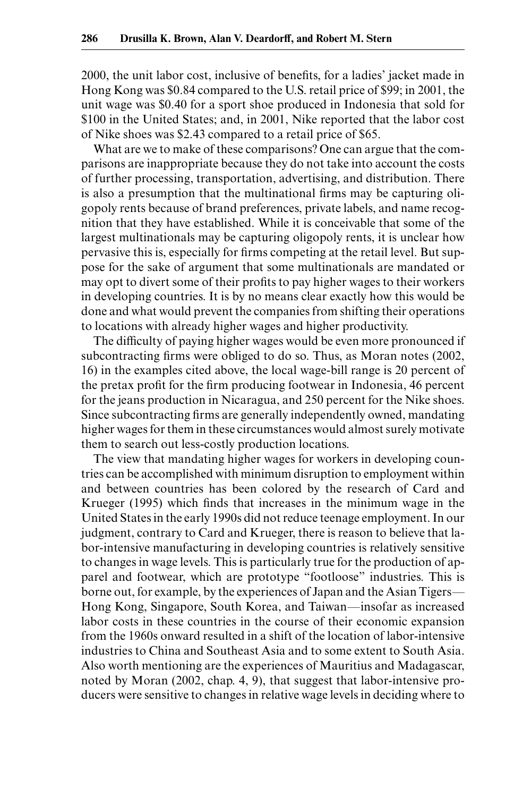2000, the unit labor cost, inclusive of benefits, for a ladies' jacket made in Hong Kong was \$0.84 compared to the U.S. retail price of \$99; in 2001, the unit wage was \$0.40 for a sport shoe produced in Indonesia that sold for \$100 in the United States; and, in 2001, Nike reported that the labor cost of Nike shoes was \$2.43 compared to a retail price of \$65.

What are we to make of these comparisons? One can argue that the comparisons are inappropriate because they do not take into account the costs of further processing, transportation, advertising, and distribution. There is also a presumption that the multinational firms may be capturing oligopoly rents because of brand preferences, private labels, and name recognition that they have established. While it is conceivable that some of the largest multinationals may be capturing oligopoly rents, it is unclear how pervasive this is, especially for firms competing at the retail level. But suppose for the sake of argument that some multinationals are mandated or may opt to divert some of their profits to pay higher wages to their workers in developing countries. It is by no means clear exactly how this would be done and what would prevent the companies from shifting their operations to locations with already higher wages and higher productivity.

The difficulty of paying higher wages would be even more pronounced if subcontracting firms were obliged to do so. Thus, as Moran notes (2002, 16) in the examples cited above, the local wage-bill range is 20 percent of the pretax profit for the firm producing footwear in Indonesia, 46 percent for the jeans production in Nicaragua, and 250 percent for the Nike shoes. Since subcontracting firms are generally independently owned, mandating higher wages for them in these circumstances would almost surely motivate them to search out less-costly production locations.

The view that mandating higher wages for workers in developing countries can be accomplished with minimum disruption to employment within and between countries has been colored by the research of Card and Krueger (1995) which finds that increases in the minimum wage in the United States in the early 1990s did not reduce teenage employment. In our judgment, contrary to Card and Krueger, there is reason to believe that labor-intensive manufacturing in developing countries is relatively sensitive to changes in wage levels. This is particularly true for the production of apparel and footwear, which are prototype "footloose" industries. This is borne out, for example, by the experiences of Japan and the Asian Tigers— Hong Kong, Singapore, South Korea, and Taiwan—insofar as increased labor costs in these countries in the course of their economic expansion from the 1960s onward resulted in a shift of the location of labor-intensive industries to China and Southeast Asia and to some extent to South Asia. Also worth mentioning are the experiences of Mauritius and Madagascar, noted by Moran (2002, chap. 4, 9), that suggest that labor-intensive producers were sensitive to changes in relative wage levels in deciding where to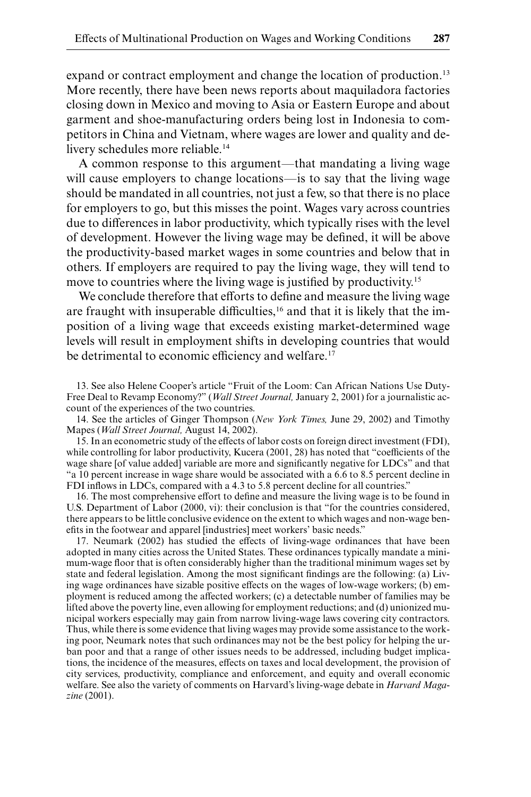expand or contract employment and change the location of production.<sup>13</sup> More recently, there have been news reports about maquiladora factories closing down in Mexico and moving to Asia or Eastern Europe and about garment and shoe-manufacturing orders being lost in Indonesia to competitors in China and Vietnam, where wages are lower and quality and delivery schedules more reliable.<sup>14</sup>

A common response to this argument—that mandating a living wage will cause employers to change locations—is to say that the living wage should be mandated in all countries, not just a few, so that there is no place for employers to go, but this misses the point. Wages vary across countries due to differences in labor productivity, which typically rises with the level of development. However the living wage may be defined, it will be above the productivity-based market wages in some countries and below that in others. If employers are required to pay the living wage, they will tend to move to countries where the living wage is justified by productivity.<sup>15</sup>

We conclude therefore that efforts to define and measure the living wage are fraught with insuperable difficulties,<sup>16</sup> and that it is likely that the imposition of a living wage that exceeds existing market-determined wage levels will result in employment shifts in developing countries that would be detrimental to economic efficiency and welfare.<sup>17</sup>

13. See also Helene Cooper's article "Fruit of the Loom: Can African Nations Use Duty-Free Deal to Revamp Economy?" (*Wall Street Journal,* January 2, 2001) for a journalistic account of the experiences of the two countries.

14. See the articles of Ginger Thompson (*New York Times,* June 29, 2002) and Timothy Mapes (*Wall Street Journal,* August 14, 2002).

15. In an econometric study of the effects of labor costs on foreign direct investment (FDI), while controlling for labor productivity, Kucera (2001, 28) has noted that "coefficients of the wage share [of value added] variable are more and significantly negative for LDCs" and that "a 10 percent increase in wage share would be associated with a 6.6 to 8.5 percent decline in FDI inflows in LDCs, compared with a 4.3 to 5.8 percent decline for all countries."

16. The most comprehensive effort to define and measure the living wage is to be found in U.S. Department of Labor (2000, vi): their conclusion is that "for the countries considered, there appears to be little conclusive evidence on the extent to which wages and non-wage benefits in the footwear and apparel [industries] meet workers' basic needs."

17. Neumark (2002) has studied the effects of living-wage ordinances that have been adopted in many cities across the United States. These ordinances typically mandate a minimum-wage floor that is often considerably higher than the traditional minimum wages set by state and federal legislation. Among the most significant findings are the following: (a) Living wage ordinances have sizable positive effects on the wages of low-wage workers; (b) employment is reduced among the affected workers; (c) a detectable number of families may be lifted above the poverty line, even allowing for employment reductions; and (d) unionized municipal workers especially may gain from narrow living-wage laws covering city contractors. Thus, while there is some evidence that living wages may provide some assistance to the working poor, Neumark notes that such ordinances may not be the best policy for helping the urban poor and that a range of other issues needs to be addressed, including budget implications, the incidence of the measures, effects on taxes and local development, the provision of city services, productivity, compliance and enforcement, and equity and overall economic welfare. See also the variety of comments on Harvard's living-wage debate in *Harvard Magazine* (2001).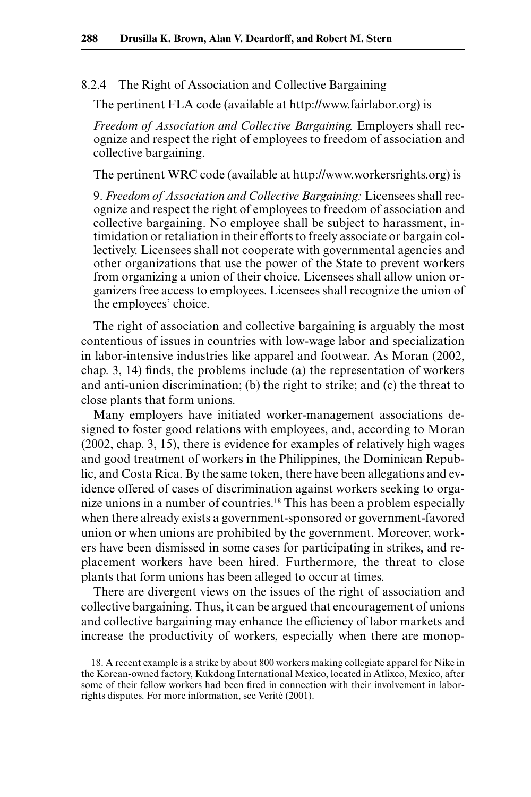## 8.2.4 The Right of Association and Collective Bargaining

The pertinent FLA code (available at http://www.fairlabor.org) is

*Freedom of Association and Collective Bargaining.* Employers shall recognize and respect the right of employees to freedom of association and collective bargaining.

The pertinent WRC code (available at http://www.workersrights.org) is

9. *Freedom of Association and Collective Bargaining:* Licensees shall recognize and respect the right of employees to freedom of association and collective bargaining. No employee shall be subject to harassment, intimidation or retaliation in their efforts to freely associate or bargain collectively. Licensees shall not cooperate with governmental agencies and other organizations that use the power of the State to prevent workers from organizing a union of their choice. Licensees shall allow union organizers free access to employees. Licensees shall recognize the union of the employees' choice.

The right of association and collective bargaining is arguably the most contentious of issues in countries with low-wage labor and specialization in labor-intensive industries like apparel and footwear. As Moran (2002, chap. 3, 14) finds, the problems include (a) the representation of workers and anti-union discrimination; (b) the right to strike; and (c) the threat to close plants that form unions.

Many employers have initiated worker-management associations designed to foster good relations with employees, and, according to Moran (2002, chap. 3, 15), there is evidence for examples of relatively high wages and good treatment of workers in the Philippines, the Dominican Republic, and Costa Rica. By the same token, there have been allegations and evidence offered of cases of discrimination against workers seeking to organize unions in a number of countries.<sup>18</sup> This has been a problem especially when there already exists a government-sponsored or government-favored union or when unions are prohibited by the government. Moreover, workers have been dismissed in some cases for participating in strikes, and replacement workers have been hired. Furthermore, the threat to close plants that form unions has been alleged to occur at times.

There are divergent views on the issues of the right of association and collective bargaining. Thus, it can be argued that encouragement of unions and collective bargaining may enhance the efficiency of labor markets and increase the productivity of workers, especially when there are monop-

<sup>18.</sup> A recent example is a strike by about 800 workers making collegiate apparel for Nike in the Korean-owned factory, Kukdong International Mexico, located in Atlixco, Mexico, after some of their fellow workers had been fired in connection with their involvement in laborrights disputes. For more information, see Verité (2001).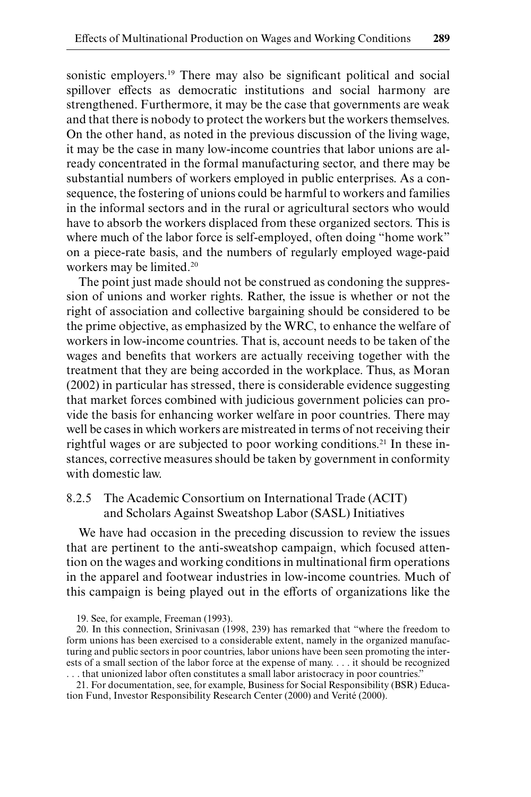sonistic employers.19 There may also be significant political and social spillover effects as democratic institutions and social harmony are strengthened. Furthermore, it may be the case that governments are weak and that there is nobody to protect the workers but the workers themselves. On the other hand, as noted in the previous discussion of the living wage, it may be the case in many low-income countries that labor unions are already concentrated in the formal manufacturing sector, and there may be substantial numbers of workers employed in public enterprises. As a consequence, the fostering of unions could be harmful to workers and families in the informal sectors and in the rural or agricultural sectors who would have to absorb the workers displaced from these organized sectors. This is where much of the labor force is self-employed, often doing "home work" on a piece-rate basis, and the numbers of regularly employed wage-paid workers may be limited.<sup>20</sup>

The point just made should not be construed as condoning the suppression of unions and worker rights. Rather, the issue is whether or not the right of association and collective bargaining should be considered to be the prime objective, as emphasized by the WRC, to enhance the welfare of workers in low-income countries. That is, account needs to be taken of the wages and benefits that workers are actually receiving together with the treatment that they are being accorded in the workplace. Thus, as Moran (2002) in particular has stressed, there is considerable evidence suggesting that market forces combined with judicious government policies can provide the basis for enhancing worker welfare in poor countries. There may well be cases in which workers are mistreated in terms of not receiving their rightful wages or are subjected to poor working conditions.<sup>21</sup> In these instances, corrective measures should be taken by government in conformity with domestic law.

# 8.2.5 The Academic Consortium on International Trade (ACIT) and Scholars Against Sweatshop Labor (SASL) Initiatives

We have had occasion in the preceding discussion to review the issues that are pertinent to the anti-sweatshop campaign, which focused attention on the wages and working conditions in multinational firm operations in the apparel and footwear industries in low-income countries. Much of this campaign is being played out in the efforts of organizations like the

21. For documentation, see, for example, Business for Social Responsibility (BSR) Education Fund, Investor Responsibility Research Center (2000) and Verité (2000).

<sup>19.</sup> See, for example, Freeman (1993).

<sup>20.</sup> In this connection, Srinivasan (1998, 239) has remarked that "where the freedom to form unions has been exercised to a considerable extent, namely in the organized manufacturing and public sectors in poor countries, labor unions have been seen promoting the interests of a small section of the labor force at the expense of many. . . . it should be recognized ... that unionized labor often constitutes a small labor aristocracy in poor countries."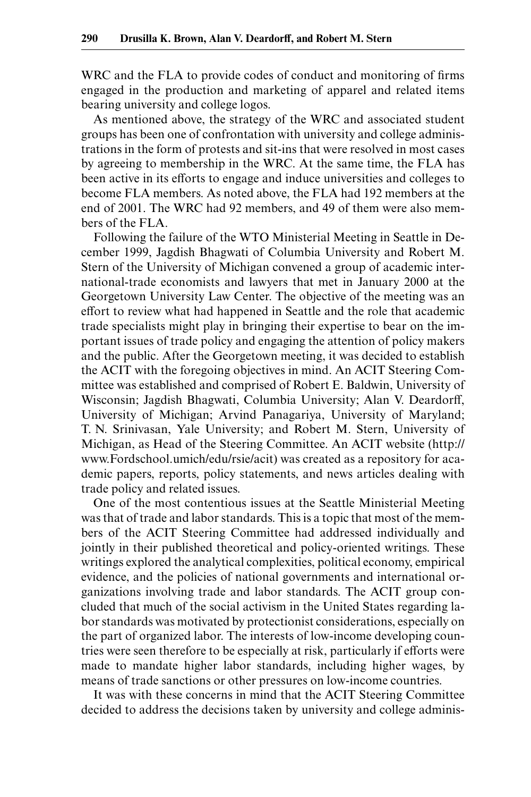WRC and the FLA to provide codes of conduct and monitoring of firms engaged in the production and marketing of apparel and related items bearing university and college logos.

As mentioned above, the strategy of the WRC and associated student groups has been one of confrontation with university and college administrations in the form of protests and sit-ins that were resolved in most cases by agreeing to membership in the WRC. At the same time, the FLA has been active in its efforts to engage and induce universities and colleges to become FLA members. As noted above, the FLA had 192 members at the end of 2001. The WRC had 92 members, and 49 of them were also members of the FLA.

Following the failure of the WTO Ministerial Meeting in Seattle in December 1999, Jagdish Bhagwati of Columbia University and Robert M. Stern of the University of Michigan convened a group of academic international-trade economists and lawyers that met in January 2000 at the Georgetown University Law Center. The objective of the meeting was an effort to review what had happened in Seattle and the role that academic trade specialists might play in bringing their expertise to bear on the important issues of trade policy and engaging the attention of policy makers and the public. After the Georgetown meeting, it was decided to establish the ACIT with the foregoing objectives in mind. An ACIT Steering Committee was established and comprised of Robert E. Baldwin, University of Wisconsin; Jagdish Bhagwati, Columbia University; Alan V. Deardorff, University of Michigan; Arvind Panagariya, University of Maryland; T. N. Srinivasan, Yale University; and Robert M. Stern, University of Michigan, as Head of the Steering Committee. An ACIT website (http:// www.Fordschool.umich/edu/rsie/acit) was created as a repository for academic papers, reports, policy statements, and news articles dealing with trade policy and related issues.

One of the most contentious issues at the Seattle Ministerial Meeting was that of trade and labor standards. This is a topic that most of the members of the ACIT Steering Committee had addressed individually and jointly in their published theoretical and policy-oriented writings. These writings explored the analytical complexities, political economy, empirical evidence, and the policies of national governments and international organizations involving trade and labor standards. The ACIT group concluded that much of the social activism in the United States regarding labor standards was motivated by protectionist considerations, especially on the part of organized labor. The interests of low-income developing countries were seen therefore to be especially at risk, particularly if efforts were made to mandate higher labor standards, including higher wages, by means of trade sanctions or other pressures on low-income countries.

It was with these concerns in mind that the ACIT Steering Committee decided to address the decisions taken by university and college adminis-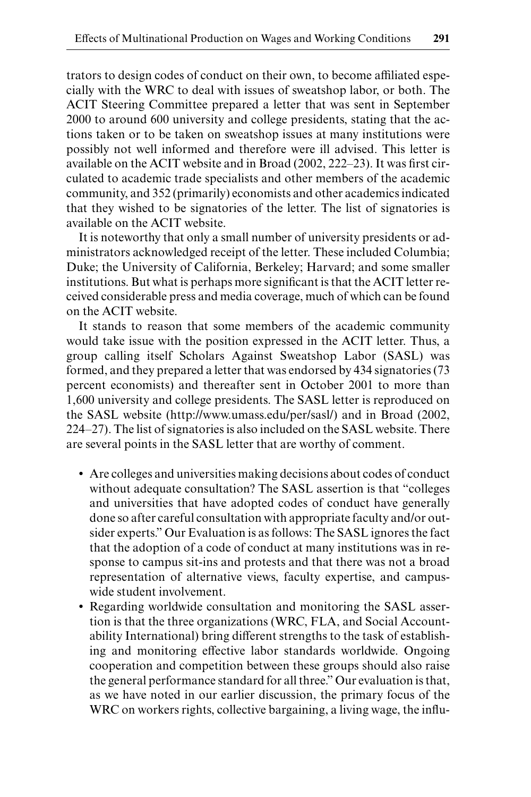trators to design codes of conduct on their own, to become affiliated especially with the WRC to deal with issues of sweatshop labor, or both. The ACIT Steering Committee prepared a letter that was sent in September 2000 to around 600 university and college presidents, stating that the actions taken or to be taken on sweatshop issues at many institutions were possibly not well informed and therefore were ill advised. This letter is available on the ACIT website and in Broad (2002, 222–23). It was first circulated to academic trade specialists and other members of the academic community, and 352 (primarily) economists and other academics indicated that they wished to be signatories of the letter. The list of signatories is available on the ACIT website.

It is noteworthy that only a small number of university presidents or administrators acknowledged receipt of the letter. These included Columbia; Duke; the University of California, Berkeley; Harvard; and some smaller institutions. But what is perhaps more significant is that the ACIT letter received considerable press and media coverage, much of which can be found on the ACIT website.

It stands to reason that some members of the academic community would take issue with the position expressed in the ACIT letter. Thus, a group calling itself Scholars Against Sweatshop Labor (SASL) was formed, and they prepared a letter that was endorsed by 434 signatories (73 percent economists) and thereafter sent in October 2001 to more than 1,600 university and college presidents. The SASL letter is reproduced on the SASL website (http://www.umass.edu/per/sasl/) and in Broad (2002, 224–27). The list of signatories is also included on the SASL website. There are several points in the SASL letter that are worthy of comment.

- Are colleges and universities making decisions about codes of conduct without adequate consultation? The SASL assertion is that "colleges and universities that have adopted codes of conduct have generally done so after careful consultation with appropriate faculty and/or outsider experts." Our Evaluation is as follows: The SASL ignores the fact that the adoption of a code of conduct at many institutions was in response to campus sit-ins and protests and that there was not a broad representation of alternative views, faculty expertise, and campuswide student involvement.
- Regarding worldwide consultation and monitoring the SASL assertion is that the three organizations (WRC, FLA, and Social Accountability International) bring different strengths to the task of establishing and monitoring effective labor standards worldwide. Ongoing cooperation and competition between these groups should also raise the general performance standard for all three." Our evaluation is that, as we have noted in our earlier discussion, the primary focus of the WRC on workers rights, collective bargaining, a living wage, the influ-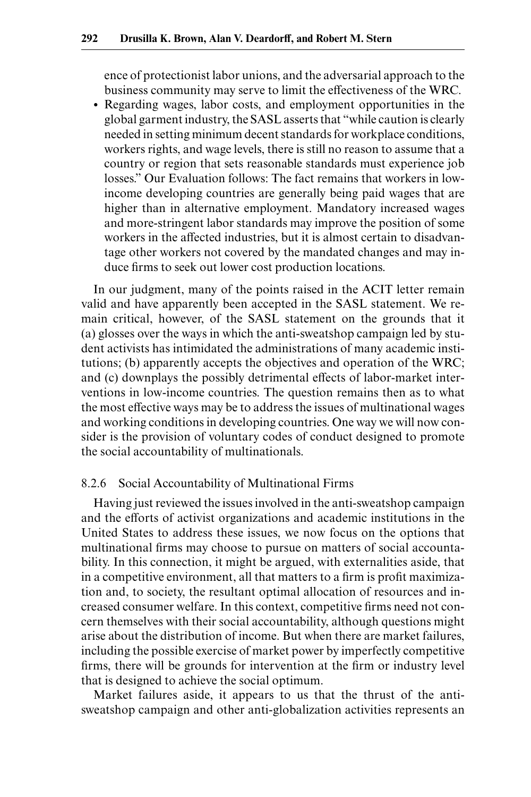ence of protectionist labor unions, and the adversarial approach to the business community may serve to limit the effectiveness of the WRC.

• Regarding wages, labor costs, and employment opportunities in the global garment industry, the SASL asserts that "while caution is clearly needed in setting minimum decent standards for workplace conditions, workers rights, and wage levels, there is still no reason to assume that a country or region that sets reasonable standards must experience job losses." Our Evaluation follows: The fact remains that workers in lowincome developing countries are generally being paid wages that are higher than in alternative employment. Mandatory increased wages and more-stringent labor standards may improve the position of some workers in the affected industries, but it is almost certain to disadvantage other workers not covered by the mandated changes and may induce firms to seek out lower cost production locations.

In our judgment, many of the points raised in the ACIT letter remain valid and have apparently been accepted in the SASL statement. We remain critical, however, of the SASL statement on the grounds that it (a) glosses over the ways in which the anti-sweatshop campaign led by student activists has intimidated the administrations of many academic institutions; (b) apparently accepts the objectives and operation of the WRC; and (c) downplays the possibly detrimental effects of labor-market interventions in low-income countries. The question remains then as to what the most effective ways may be to address the issues of multinational wages and working conditions in developing countries. One way we will now consider is the provision of voluntary codes of conduct designed to promote the social accountability of multinationals.

# 8.2.6 Social Accountability of Multinational Firms

Having just reviewed the issues involved in the anti-sweatshop campaign and the efforts of activist organizations and academic institutions in the United States to address these issues, we now focus on the options that multinational firms may choose to pursue on matters of social accountability. In this connection, it might be argued, with externalities aside, that in a competitive environment, all that matters to a firm is profit maximization and, to society, the resultant optimal allocation of resources and increased consumer welfare. In this context, competitive firms need not concern themselves with their social accountability, although questions might arise about the distribution of income. But when there are market failures, including the possible exercise of market power by imperfectly competitive firms, there will be grounds for intervention at the firm or industry level that is designed to achieve the social optimum.

Market failures aside, it appears to us that the thrust of the antisweatshop campaign and other anti-globalization activities represents an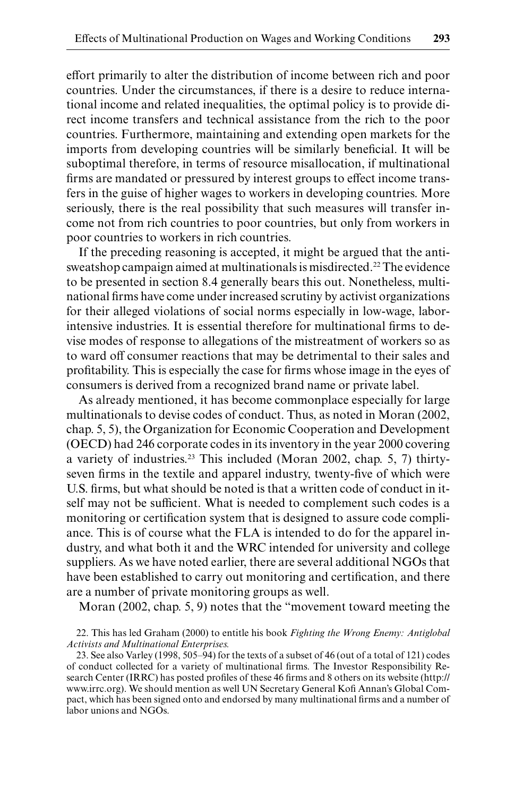effort primarily to alter the distribution of income between rich and poor countries. Under the circumstances, if there is a desire to reduce international income and related inequalities, the optimal policy is to provide direct income transfers and technical assistance from the rich to the poor countries. Furthermore, maintaining and extending open markets for the imports from developing countries will be similarly beneficial. It will be suboptimal therefore, in terms of resource misallocation, if multinational firms are mandated or pressured by interest groups to effect income transfers in the guise of higher wages to workers in developing countries. More seriously, there is the real possibility that such measures will transfer income not from rich countries to poor countries, but only from workers in poor countries to workers in rich countries.

If the preceding reasoning is accepted, it might be argued that the antisweatshop campaign aimed at multinationals is misdirected.<sup>22</sup> The evidence to be presented in section 8.4 generally bears this out. Nonetheless, multinational firms have come under increased scrutiny by activist organizations for their alleged violations of social norms especially in low-wage, laborintensive industries. It is essential therefore for multinational firms to devise modes of response to allegations of the mistreatment of workers so as to ward off consumer reactions that may be detrimental to their sales and profitability. This is especially the case for firms whose image in the eyes of consumers is derived from a recognized brand name or private label.

As already mentioned, it has become commonplace especially for large multinationals to devise codes of conduct. Thus, as noted in Moran (2002, chap. 5, 5), the Organization for Economic Cooperation and Development (OECD) had 246 corporate codes in its inventory in the year 2000 covering a variety of industries.23 This included (Moran 2002, chap. 5, 7) thirtyseven firms in the textile and apparel industry, twenty-five of which were U.S. firms, but what should be noted is that a written code of conduct in itself may not be sufficient. What is needed to complement such codes is a monitoring or certification system that is designed to assure code compliance. This is of course what the FLA is intended to do for the apparel industry, and what both it and the WRC intended for university and college suppliers. As we have noted earlier, there are several additional NGOs that have been established to carry out monitoring and certification, and there are a number of private monitoring groups as well.

Moran (2002, chap. 5, 9) notes that the "movement toward meeting the

<sup>22.</sup> This has led Graham (2000) to entitle his book *Fighting the Wrong Enemy: Antiglobal Activists and Multinational Enterprises.*

<sup>23.</sup> See also Varley (1998, 505–94) for the texts of a subset of 46 (out of a total of 121) codes of conduct collected for a variety of multinational firms. The Investor Responsibility Research Center (IRRC) has posted profiles of these 46 firms and 8 others on its website (http:// www.irrc.org). We should mention as well UN Secretary General Kofi Annan's Global Compact, which has been signed onto and endorsed by many multinational firms and a number of labor unions and NGOs.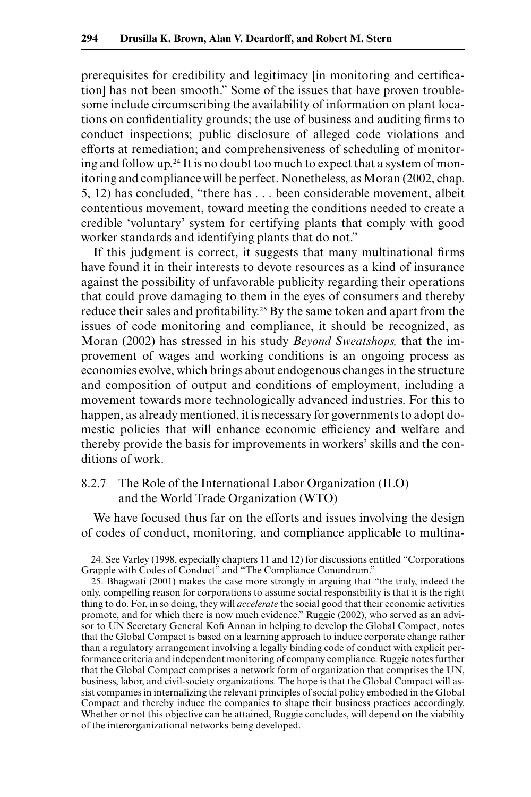prerequisites for credibility and legitimacy [in monitoring and certification] has not been smooth." Some of the issues that have proven troublesome include circumscribing the availability of information on plant locations on confidentiality grounds; the use of business and auditing firms to conduct inspections; public disclosure of alleged code violations and efforts at remediation; and comprehensiveness of scheduling of monitoring and follow up.24 It is no doubt too much to expect that a system of monitoring and compliance will be perfect. Nonetheless, as Moran (2002, chap. 5, 12) has concluded, "there has . . . been considerable movement, albeit contentious movement, toward meeting the conditions needed to create a credible 'voluntary' system for certifying plants that comply with good worker standards and identifying plants that do not."

If this judgment is correct, it suggests that many multinational firms have found it in their interests to devote resources as a kind of insurance against the possibility of unfavorable publicity regarding their operations that could prove damaging to them in the eyes of consumers and thereby reduce their sales and profitability.<sup>25</sup> By the same token and apart from the issues of code monitoring and compliance, it should be recognized, as Moran (2002) has stressed in his study *Beyond Sweatshops,* that the improvement of wages and working conditions is an ongoing process as economies evolve, which brings about endogenous changes in the structure and composition of output and conditions of employment, including a movement towards more technologically advanced industries. For this to happen, as already mentioned, it is necessary for governments to adopt domestic policies that will enhance economic efficiency and welfare and thereby provide the basis for improvements in workers' skills and the conditions of work.

# 8.2.7 The Role of the International Labor Organization (ILO) and the World Trade Organization (WTO)

We have focused thus far on the efforts and issues involving the design of codes of conduct, monitoring, and compliance applicable to multina-

24. See Varley (1998, especially chapters 11 and 12) for discussions entitled "Corporations Grapple with Codes of Conduct" and "The Compliance Conundrum."

25. Bhagwati (2001) makes the case more strongly in arguing that "the truly, indeed the only, compelling reason for corporations to assume social responsibility is that it is the right thing to do. For, in so doing, they will *accelerate* the social good that their economic activities promote, and for which there is now much evidence." Ruggie (2002), who served as an advisor to UN Secretary General Kofi Annan in helping to develop the Global Compact, notes that the Global Compact is based on a learning approach to induce corporate change rather than a regulatory arrangement involving a legally binding code of conduct with explicit performance criteria and independent monitoring of company compliance. Ruggie notes further that the Global Compact comprises a network form of organization that comprises the UN, business, labor, and civil-society organizations. The hope is that the Global Compact will assist companies in internalizing the relevant principles of social policy embodied in the Global Compact and thereby induce the companies to shape their business practices accordingly. Whether or not this objective can be attained, Ruggie concludes, will depend on the viability of the interorganizational networks being developed.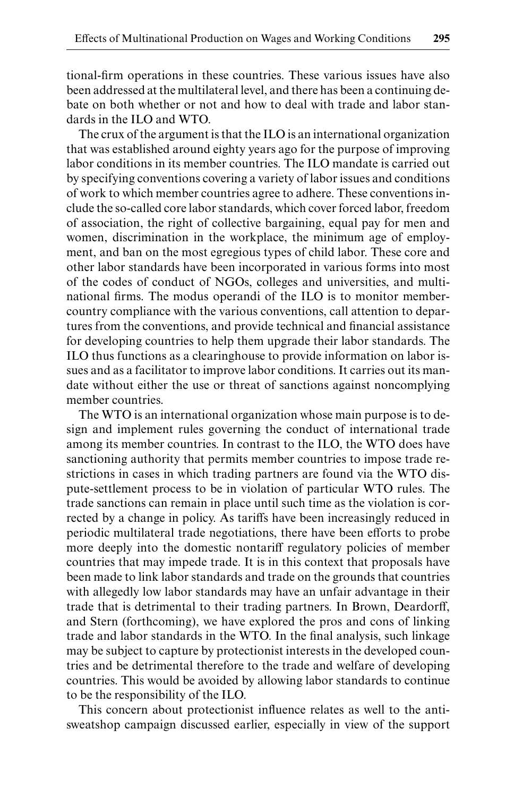tional-firm operations in these countries. These various issues have also been addressed at the multilateral level, and there has been a continuing debate on both whether or not and how to deal with trade and labor standards in the ILO and WTO.

The crux of the argument is that the ILO is an international organization that was established around eighty years ago for the purpose of improving labor conditions in its member countries. The ILO mandate is carried out by specifying conventions covering a variety of labor issues and conditions of work to which member countries agree to adhere. These conventions include the so-called core labor standards, which cover forced labor, freedom of association, the right of collective bargaining, equal pay for men and women, discrimination in the workplace, the minimum age of employment, and ban on the most egregious types of child labor. These core and other labor standards have been incorporated in various forms into most of the codes of conduct of NGOs, colleges and universities, and multinational firms. The modus operandi of the ILO is to monitor membercountry compliance with the various conventions, call attention to departures from the conventions, and provide technical and financial assistance for developing countries to help them upgrade their labor standards. The ILO thus functions as a clearinghouse to provide information on labor issues and as a facilitator to improve labor conditions. It carries out its mandate without either the use or threat of sanctions against noncomplying member countries.

The WTO is an international organization whose main purpose is to design and implement rules governing the conduct of international trade among its member countries. In contrast to the ILO, the WTO does have sanctioning authority that permits member countries to impose trade restrictions in cases in which trading partners are found via the WTO dispute-settlement process to be in violation of particular WTO rules. The trade sanctions can remain in place until such time as the violation is corrected by a change in policy. As tariffs have been increasingly reduced in periodic multilateral trade negotiations, there have been efforts to probe more deeply into the domestic nontariff regulatory policies of member countries that may impede trade. It is in this context that proposals have been made to link labor standards and trade on the grounds that countries with allegedly low labor standards may have an unfair advantage in their trade that is detrimental to their trading partners. In Brown, Deardorff, and Stern (forthcoming), we have explored the pros and cons of linking trade and labor standards in the WTO. In the final analysis, such linkage may be subject to capture by protectionist interests in the developed countries and be detrimental therefore to the trade and welfare of developing countries. This would be avoided by allowing labor standards to continue to be the responsibility of the ILO.

This concern about protectionist influence relates as well to the antisweatshop campaign discussed earlier, especially in view of the support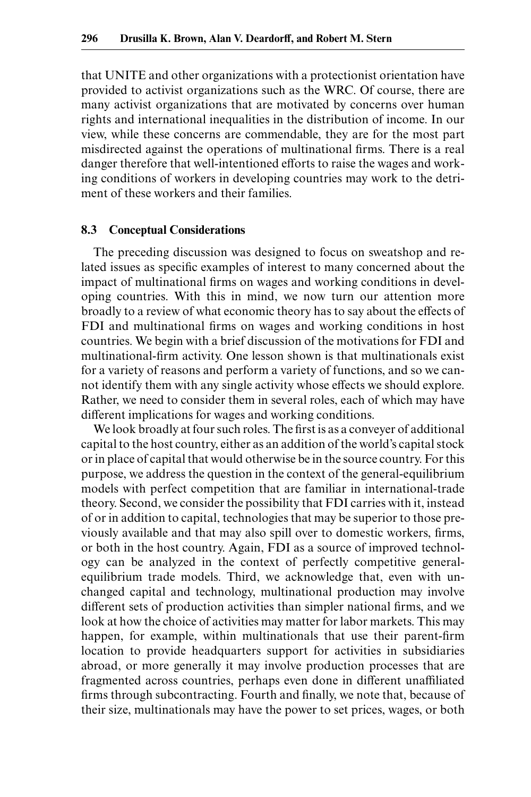that UNITE and other organizations with a protectionist orientation have provided to activist organizations such as the WRC. Of course, there are many activist organizations that are motivated by concerns over human rights and international inequalities in the distribution of income. In our view, while these concerns are commendable, they are for the most part misdirected against the operations of multinational firms. There is a real danger therefore that well-intentioned efforts to raise the wages and working conditions of workers in developing countries may work to the detriment of these workers and their families.

## **8.3 Conceptual Considerations**

The preceding discussion was designed to focus on sweatshop and related issues as specific examples of interest to many concerned about the impact of multinational firms on wages and working conditions in developing countries. With this in mind, we now turn our attention more broadly to a review of what economic theory has to say about the effects of FDI and multinational firms on wages and working conditions in host countries. We begin with a brief discussion of the motivations for FDI and multinational-firm activity. One lesson shown is that multinationals exist for a variety of reasons and perform a variety of functions, and so we cannot identify them with any single activity whose effects we should explore. Rather, we need to consider them in several roles, each of which may have different implications for wages and working conditions.

We look broadly at four such roles. The first is as a conveyer of additional capital to the host country, either as an addition of the world's capital stock or in place of capital that would otherwise be in the source country. For this purpose, we address the question in the context of the general-equilibrium models with perfect competition that are familiar in international-trade theory. Second, we consider the possibility that FDI carries with it, instead of or in addition to capital, technologies that may be superior to those previously available and that may also spill over to domestic workers, firms, or both in the host country. Again, FDI as a source of improved technology can be analyzed in the context of perfectly competitive generalequilibrium trade models. Third, we acknowledge that, even with unchanged capital and technology, multinational production may involve different sets of production activities than simpler national firms, and we look at how the choice of activities may matter for labor markets. This may happen, for example, within multinationals that use their parent-firm location to provide headquarters support for activities in subsidiaries abroad, or more generally it may involve production processes that are fragmented across countries, perhaps even done in different unaffiliated firms through subcontracting. Fourth and finally, we note that, because of their size, multinationals may have the power to set prices, wages, or both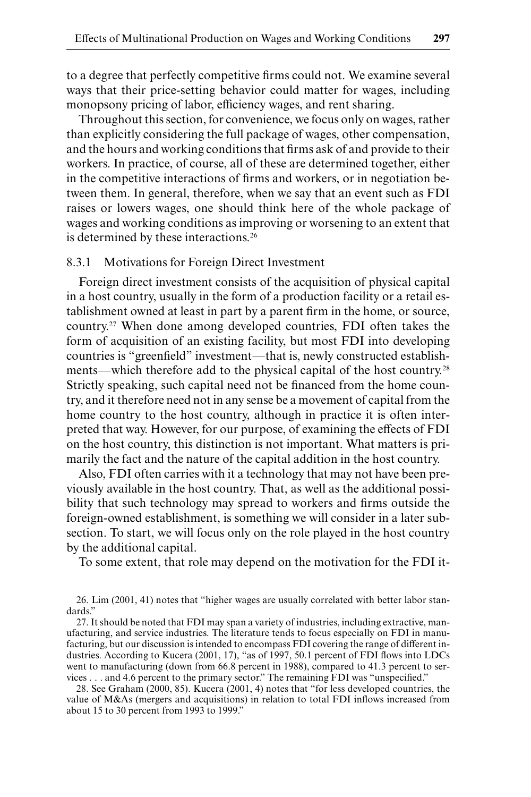to a degree that perfectly competitive firms could not. We examine several ways that their price-setting behavior could matter for wages, including monopsony pricing of labor, efficiency wages, and rent sharing.

Throughout this section, for convenience, we focus only on wages, rather than explicitly considering the full package of wages, other compensation, and the hours and working conditions that firms ask of and provide to their workers. In practice, of course, all of these are determined together, either in the competitive interactions of firms and workers, or in negotiation between them. In general, therefore, when we say that an event such as FDI raises or lowers wages, one should think here of the whole package of wages and working conditions as improving or worsening to an extent that is determined by these interactions.<sup>26</sup>

# 8.3.1 Motivations for Foreign Direct Investment

Foreign direct investment consists of the acquisition of physical capital in a host country, usually in the form of a production facility or a retail establishment owned at least in part by a parent firm in the home, or source, country.27 When done among developed countries, FDI often takes the form of acquisition of an existing facility, but most FDI into developing countries is "greenfield" investment—that is, newly constructed establishments—which therefore add to the physical capital of the host country.28 Strictly speaking, such capital need not be financed from the home country, and it therefore need not in any sense be a movement of capital from the home country to the host country, although in practice it is often interpreted that way. However, for our purpose, of examining the effects of FDI on the host country, this distinction is not important. What matters is primarily the fact and the nature of the capital addition in the host country.

Also, FDI often carries with it a technology that may not have been previously available in the host country. That, as well as the additional possibility that such technology may spread to workers and firms outside the foreign-owned establishment, is something we will consider in a later subsection. To start, we will focus only on the role played in the host country by the additional capital.

To some extent, that role may depend on the motivation for the FDI it-

28. See Graham (2000, 85). Kucera (2001, 4) notes that "for less developed countries, the value of M&As (mergers and acquisitions) in relation to total FDI inflows increased from about 15 to 30 percent from 1993 to 1999."

<sup>26.</sup> Lim (2001, 41) notes that "higher wages are usually correlated with better labor standards."

<sup>27.</sup> It should be noted that FDI may span a variety of industries, including extractive, manufacturing, and service industries. The literature tends to focus especially on FDI in manufacturing, but our discussion is intended to encompass FDI covering the range of different industries. According to Kucera (2001, 17), "as of 1997, 50.1 percent of FDI flows into LDCs went to manufacturing (down from 66.8 percent in 1988), compared to 41.3 percent to services . . . and 4.6 percent to the primary sector." The remaining FDI was "unspecified."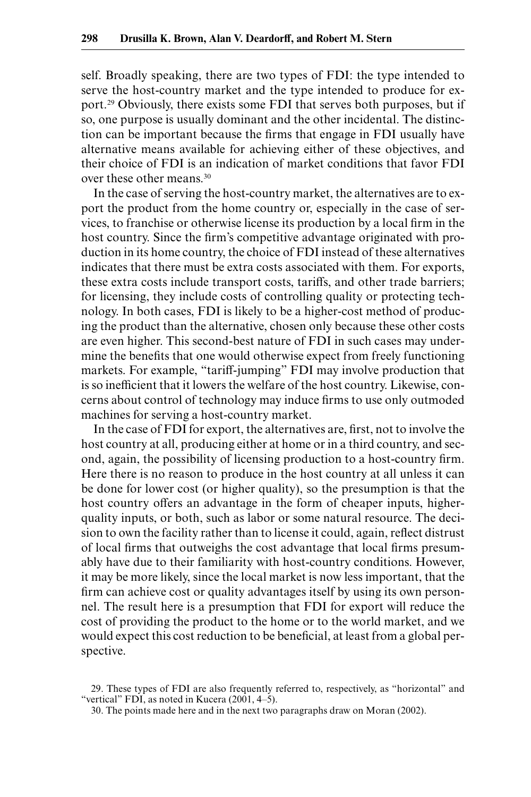self. Broadly speaking, there are two types of FDI: the type intended to serve the host-country market and the type intended to produce for export.29 Obviously, there exists some FDI that serves both purposes, but if so, one purpose is usually dominant and the other incidental. The distinction can be important because the firms that engage in FDI usually have alternative means available for achieving either of these objectives, and their choice of FDI is an indication of market conditions that favor FDI over these other means.30

In the case of serving the host-country market, the alternatives are to export the product from the home country or, especially in the case of services, to franchise or otherwise license its production by a local firm in the host country. Since the firm's competitive advantage originated with production in its home country, the choice of FDI instead of these alternatives indicates that there must be extra costs associated with them. For exports, these extra costs include transport costs, tariffs, and other trade barriers; for licensing, they include costs of controlling quality or protecting technology. In both cases, FDI is likely to be a higher-cost method of producing the product than the alternative, chosen only because these other costs are even higher. This second-best nature of FDI in such cases may undermine the benefits that one would otherwise expect from freely functioning markets. For example, "tariff-jumping" FDI may involve production that is so inefficient that it lowers the welfare of the host country. Likewise, concerns about control of technology may induce firms to use only outmoded machines for serving a host-country market.

In the case of FDI for export, the alternatives are, first, not to involve the host country at all, producing either at home or in a third country, and second, again, the possibility of licensing production to a host-country firm. Here there is no reason to produce in the host country at all unless it can be done for lower cost (or higher quality), so the presumption is that the host country offers an advantage in the form of cheaper inputs, higherquality inputs, or both, such as labor or some natural resource. The decision to own the facility rather than to license it could, again, reflect distrust of local firms that outweighs the cost advantage that local firms presumably have due to their familiarity with host-country conditions. However, it may be more likely, since the local market is now less important, that the firm can achieve cost or quality advantages itself by using its own personnel. The result here is a presumption that FDI for export will reduce the cost of providing the product to the home or to the world market, and we would expect this cost reduction to be beneficial, at least from a global perspective.

<sup>29.</sup> These types of FDI are also frequently referred to, respectively, as "horizontal" and "vertical" FDI, as noted in Kucera (2001, 4–5).

<sup>30.</sup> The points made here and in the next two paragraphs draw on Moran (2002).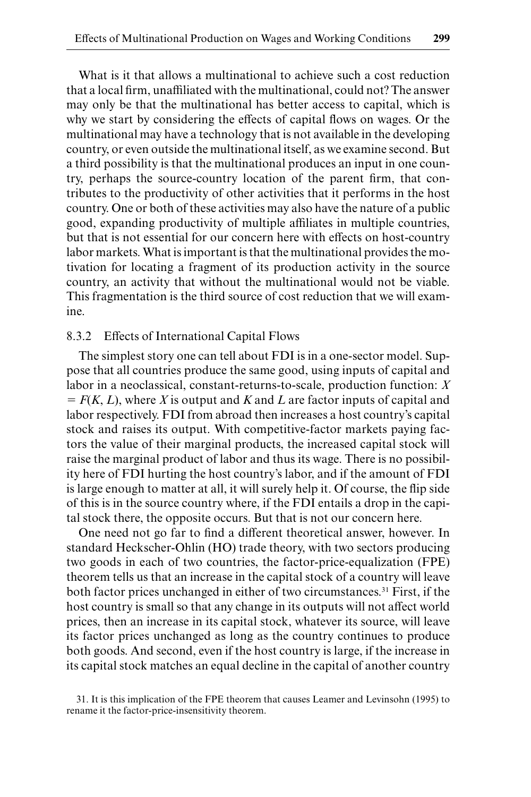What is it that allows a multinational to achieve such a cost reduction that a local firm, unaffiliated with the multinational, could not? The answer may only be that the multinational has better access to capital, which is why we start by considering the effects of capital flows on wages. Or the multinational may have a technology that is not available in the developing country, or even outside the multinational itself, as we examine second. But a third possibility is that the multinational produces an input in one country, perhaps the source-country location of the parent firm, that contributes to the productivity of other activities that it performs in the host country. One or both of these activities may also have the nature of a public good, expanding productivity of multiple affiliates in multiple countries, but that is not essential for our concern here with effects on host-country labor markets. What is important is that the multinational provides the motivation for locating a fragment of its production activity in the source country, an activity that without the multinational would not be viable. This fragmentation is the third source of cost reduction that we will examine.

# 8.3.2 Effects of International Capital Flows

The simplest story one can tell about FDI is in a one-sector model. Suppose that all countries produce the same good, using inputs of capital and labor in a neoclassical, constant-returns-to-scale, production function: *X*  $F(K, L)$ , where *X* is output and *K* and *L* are factor inputs of capital and labor respectively. FDI from abroad then increases a host country's capital stock and raises its output. With competitive-factor markets paying factors the value of their marginal products, the increased capital stock will raise the marginal product of labor and thus its wage. There is no possibility here of FDI hurting the host country's labor, and if the amount of FDI is large enough to matter at all, it will surely help it. Of course, the flip side of this is in the source country where, if the FDI entails a drop in the capital stock there, the opposite occurs. But that is not our concern here.

One need not go far to find a different theoretical answer, however. In standard Heckscher-Ohlin (HO) trade theory, with two sectors producing two goods in each of two countries, the factor-price-equalization (FPE) theorem tells us that an increase in the capital stock of a country will leave both factor prices unchanged in either of two circumstances.<sup>31</sup> First, if the host country is small so that any change in its outputs will not affect world prices, then an increase in its capital stock, whatever its source, will leave its factor prices unchanged as long as the country continues to produce both goods. And second, even if the host country is large, if the increase in its capital stock matches an equal decline in the capital of another country

<sup>31.</sup> It is this implication of the FPE theorem that causes Leamer and Levinsohn (1995) to rename it the factor-price-insensitivity theorem.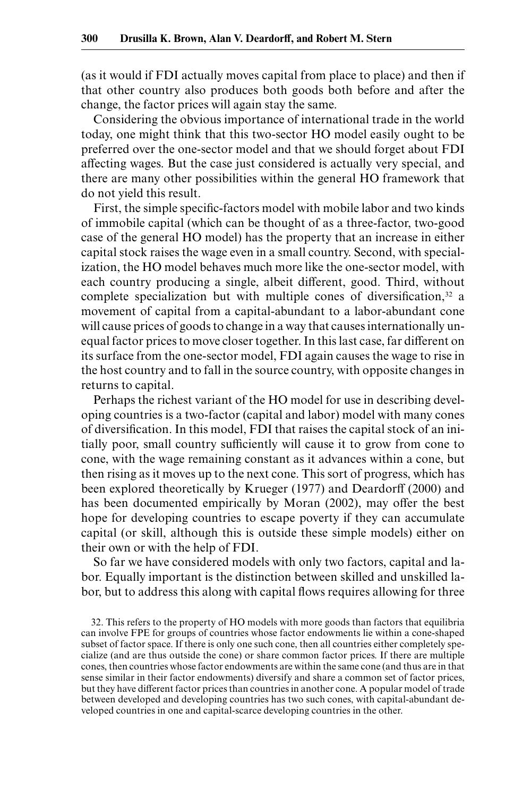(as it would if FDI actually moves capital from place to place) and then if that other country also produces both goods both before and after the change, the factor prices will again stay the same.

Considering the obvious importance of international trade in the world today, one might think that this two-sector HO model easily ought to be preferred over the one-sector model and that we should forget about FDI affecting wages. But the case just considered is actually very special, and there are many other possibilities within the general HO framework that do not yield this result.

First, the simple specific-factors model with mobile labor and two kinds of immobile capital (which can be thought of as a three-factor, two-good case of the general HO model) has the property that an increase in either capital stock raises the wage even in a small country. Second, with specialization, the HO model behaves much more like the one-sector model, with each country producing a single, albeit different, good. Third, without complete specialization but with multiple cones of diversification, $32$  a movement of capital from a capital-abundant to a labor-abundant cone will cause prices of goods to change in a way that causes internationally unequal factor prices to move closer together. In this last case, far different on its surface from the one-sector model, FDI again causes the wage to rise in the host country and to fall in the source country, with opposite changes in returns to capital.

Perhaps the richest variant of the HO model for use in describing developing countries is a two-factor (capital and labor) model with many cones of diversification. In this model, FDI that raises the capital stock of an initially poor, small country sufficiently will cause it to grow from cone to cone, with the wage remaining constant as it advances within a cone, but then rising as it moves up to the next cone. This sort of progress, which has been explored theoretically by Krueger (1977) and Deardorff (2000) and has been documented empirically by Moran (2002), may offer the best hope for developing countries to escape poverty if they can accumulate capital (or skill, although this is outside these simple models) either on their own or with the help of FDI.

So far we have considered models with only two factors, capital and labor. Equally important is the distinction between skilled and unskilled labor, but to address this along with capital flows requires allowing for three

32. This refers to the property of HO models with more goods than factors that equilibria can involve FPE for groups of countries whose factor endowments lie within a cone-shaped subset of factor space. If there is only one such cone, then all countries either completely specialize (and are thus outside the cone) or share common factor prices. If there are multiple cones, then countries whose factor endowments are within the same cone (and thus are in that sense similar in their factor endowments) diversify and share a common set of factor prices, but they have different factor prices than countries in another cone. A popular model of trade between developed and developing countries has two such cones, with capital-abundant developed countries in one and capital-scarce developing countries in the other.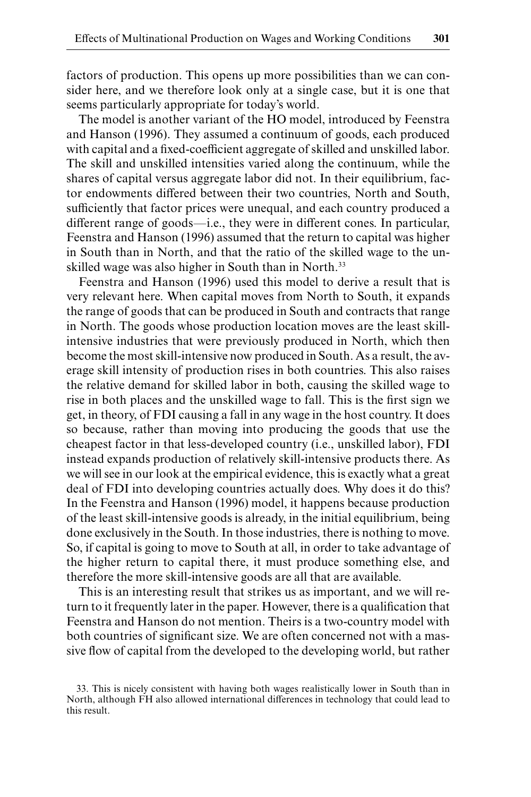factors of production. This opens up more possibilities than we can consider here, and we therefore look only at a single case, but it is one that seems particularly appropriate for today's world.

The model is another variant of the HO model, introduced by Feenstra and Hanson (1996). They assumed a continuum of goods, each produced with capital and a fixed-coefficient aggregate of skilled and unskilled labor. The skill and unskilled intensities varied along the continuum, while the shares of capital versus aggregate labor did not. In their equilibrium, factor endowments differed between their two countries, North and South, sufficiently that factor prices were unequal, and each country produced a different range of goods—i.e., they were in different cones. In particular, Feenstra and Hanson (1996) assumed that the return to capital was higher in South than in North, and that the ratio of the skilled wage to the unskilled wage was also higher in South than in North.<sup>33</sup>

Feenstra and Hanson (1996) used this model to derive a result that is very relevant here. When capital moves from North to South, it expands the range of goods that can be produced in South and contracts that range in North. The goods whose production location moves are the least skillintensive industries that were previously produced in North, which then become the most skill-intensive now produced in South. As a result, the average skill intensity of production rises in both countries. This also raises the relative demand for skilled labor in both, causing the skilled wage to rise in both places and the unskilled wage to fall. This is the first sign we get, in theory, of FDI causing a fall in any wage in the host country. It does so because, rather than moving into producing the goods that use the cheapest factor in that less-developed country (i.e., unskilled labor), FDI instead expands production of relatively skill-intensive products there. As we will see in our look at the empirical evidence, this is exactly what a great deal of FDI into developing countries actually does. Why does it do this? In the Feenstra and Hanson (1996) model, it happens because production of the least skill-intensive goods is already, in the initial equilibrium, being done exclusively in the South. In those industries, there is nothing to move. So, if capital is going to move to South at all, in order to take advantage of the higher return to capital there, it must produce something else, and therefore the more skill-intensive goods are all that are available.

This is an interesting result that strikes us as important, and we will return to it frequently later in the paper. However, there is a qualification that Feenstra and Hanson do not mention. Theirs is a two-country model with both countries of significant size. We are often concerned not with a massive flow of capital from the developed to the developing world, but rather

<sup>33.</sup> This is nicely consistent with having both wages realistically lower in South than in North, although FH also allowed international differences in technology that could lead to this result.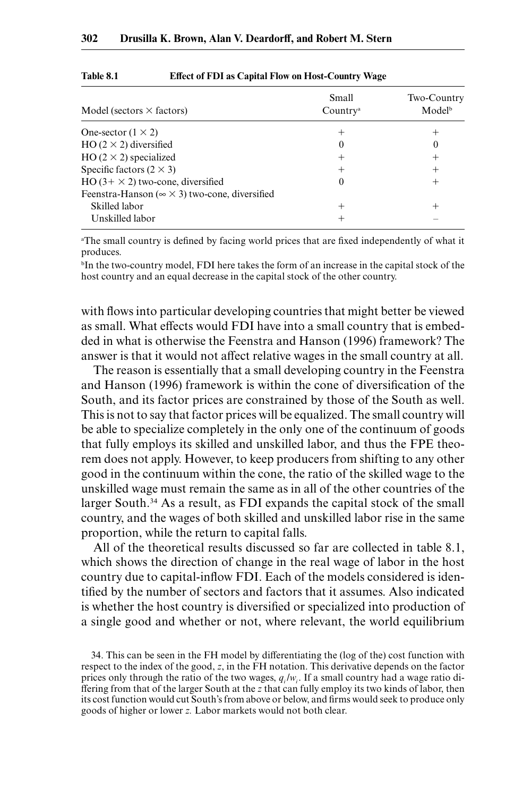| Model (sectors $\times$ factors)                            | Small<br>Country <sup>a</sup> | Two-Country<br>Model <sup>b</sup> |
|-------------------------------------------------------------|-------------------------------|-----------------------------------|
| One-sector $(1 \times 2)$                                   | $^+$                          |                                   |
| HO $(2 \times 2)$ diversified                               | $\theta$                      | 0                                 |
| HO $(2 \times 2)$ specialized                               | $^+$                          | $^+$                              |
| Specific factors $(2 \times 3)$                             | $^+$                          |                                   |
| HO $(3 + \times 2)$ two-cone, diversified                   | $\theta$                      |                                   |
| Feenstra-Hanson ( $\infty \times 3$ ) two-cone, diversified |                               |                                   |
| Skilled labor                                               | $^+$                          |                                   |
| Unskilled labor                                             |                               |                                   |

#### **Table 8.1 Effect of FDI as Capital Flow on Host-Country Wage**

a The small country is defined by facing world prices that are fixed independently of what it produces.

b In the two-country model, FDI here takes the form of an increase in the capital stock of the host country and an equal decrease in the capital stock of the other country.

with flows into particular developing countries that might better be viewed as small. What effects would FDI have into a small country that is embedded in what is otherwise the Feenstra and Hanson (1996) framework? The answer is that it would not affect relative wages in the small country at all.

The reason is essentially that a small developing country in the Feenstra and Hanson (1996) framework is within the cone of diversification of the South, and its factor prices are constrained by those of the South as well. This is not to say that factor prices will be equalized. The small country will be able to specialize completely in the only one of the continuum of goods that fully employs its skilled and unskilled labor, and thus the FPE theorem does not apply. However, to keep producers from shifting to any other good in the continuum within the cone, the ratio of the skilled wage to the unskilled wage must remain the same as in all of the other countries of the larger South.<sup>34</sup> As a result, as FDI expands the capital stock of the small country, and the wages of both skilled and unskilled labor rise in the same proportion, while the return to capital falls.

All of the theoretical results discussed so far are collected in table 8.1, which shows the direction of change in the real wage of labor in the host country due to capital-inflow FDI. Each of the models considered is identified by the number of sectors and factors that it assumes. Also indicated is whether the host country is diversified or specialized into production of a single good and whether or not, where relevant, the world equilibrium

34. This can be seen in the FH model by differentiating the (log of the) cost function with respect to the index of the good, *z*, in the FH notation. This derivative depends on the factor prices only through the ratio of the two wages,  $q_i/w_i$ . If a small country had a wage ratio differing from that of the larger South at the *z* that can fully employ its two kinds of labor, then its cost function would cut South's from above or below, and firms would seek to produce only goods of higher or lower *z.* Labor markets would not both clear.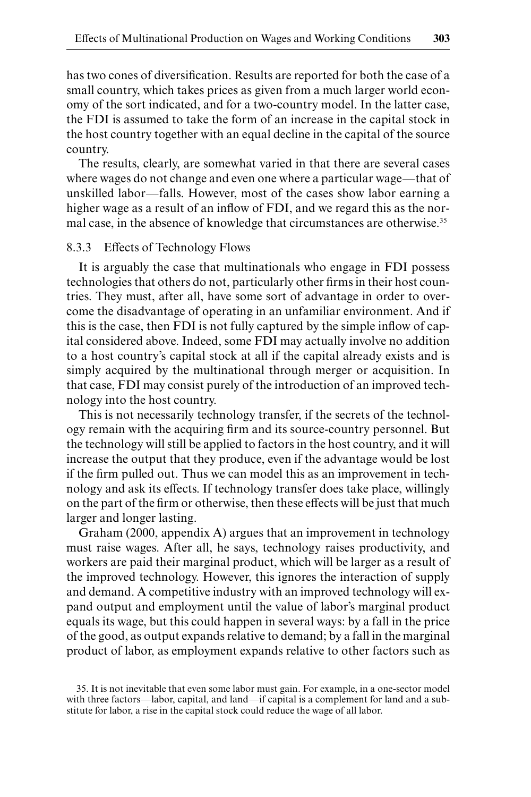has two cones of diversification. Results are reported for both the case of a small country, which takes prices as given from a much larger world economy of the sort indicated, and for a two-country model. In the latter case, the FDI is assumed to take the form of an increase in the capital stock in the host country together with an equal decline in the capital of the source country.

The results, clearly, are somewhat varied in that there are several cases where wages do not change and even one where a particular wage—that of unskilled labor—falls. However, most of the cases show labor earning a higher wage as a result of an inflow of FDI, and we regard this as the normal case, in the absence of knowledge that circumstances are otherwise.<sup>35</sup>

#### 8.3.3 Effects of Technology Flows

It is arguably the case that multinationals who engage in FDI possess technologies that others do not, particularly other firms in their host countries. They must, after all, have some sort of advantage in order to overcome the disadvantage of operating in an unfamiliar environment. And if this is the case, then FDI is not fully captured by the simple inflow of capital considered above. Indeed, some FDI may actually involve no addition to a host country's capital stock at all if the capital already exists and is simply acquired by the multinational through merger or acquisition. In that case, FDI may consist purely of the introduction of an improved technology into the host country.

This is not necessarily technology transfer, if the secrets of the technology remain with the acquiring firm and its source-country personnel. But the technology will still be applied to factors in the host country, and it will increase the output that they produce, even if the advantage would be lost if the firm pulled out. Thus we can model this as an improvement in technology and ask its effects. If technology transfer does take place, willingly on the part of the firm or otherwise, then these effects will be just that much larger and longer lasting.

Graham (2000, appendix A) argues that an improvement in technology must raise wages. After all, he says, technology raises productivity, and workers are paid their marginal product, which will be larger as a result of the improved technology. However, this ignores the interaction of supply and demand. A competitive industry with an improved technology will expand output and employment until the value of labor's marginal product equals its wage, but this could happen in several ways: by a fall in the price of the good, as output expands relative to demand; by a fall in the marginal product of labor, as employment expands relative to other factors such as

<sup>35.</sup> It is not inevitable that even some labor must gain. For example, in a one-sector model with three factors—labor, capital, and land—if capital is a complement for land and a substitute for labor, a rise in the capital stock could reduce the wage of all labor.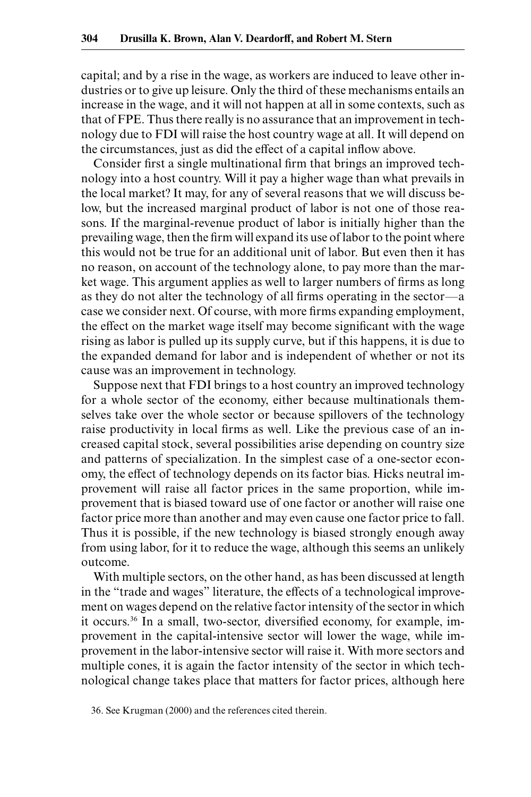capital; and by a rise in the wage, as workers are induced to leave other industries or to give up leisure. Only the third of these mechanisms entails an increase in the wage, and it will not happen at all in some contexts, such as that of FPE. Thus there really is no assurance that an improvement in technology due to FDI will raise the host country wage at all. It will depend on the circumstances, just as did the effect of a capital inflow above.

Consider first a single multinational firm that brings an improved technology into a host country. Will it pay a higher wage than what prevails in the local market? It may, for any of several reasons that we will discuss below, but the increased marginal product of labor is not one of those reasons. If the marginal-revenue product of labor is initially higher than the prevailing wage, then the firm will expand its use of labor to the point where this would not be true for an additional unit of labor. But even then it has no reason, on account of the technology alone, to pay more than the market wage. This argument applies as well to larger numbers of firms as long as they do not alter the technology of all firms operating in the sector—a case we consider next. Of course, with more firms expanding employment, the effect on the market wage itself may become significant with the wage rising as labor is pulled up its supply curve, but if this happens, it is due to the expanded demand for labor and is independent of whether or not its cause was an improvement in technology.

Suppose next that FDI brings to a host country an improved technology for a whole sector of the economy, either because multinationals themselves take over the whole sector or because spillovers of the technology raise productivity in local firms as well. Like the previous case of an increased capital stock, several possibilities arise depending on country size and patterns of specialization. In the simplest case of a one-sector economy, the effect of technology depends on its factor bias. Hicks neutral improvement will raise all factor prices in the same proportion, while improvement that is biased toward use of one factor or another will raise one factor price more than another and may even cause one factor price to fall. Thus it is possible, if the new technology is biased strongly enough away from using labor, for it to reduce the wage, although this seems an unlikely outcome.

With multiple sectors, on the other hand, as has been discussed at length in the "trade and wages" literature, the effects of a technological improvement on wages depend on the relative factor intensity of the sector in which it occurs.36 In a small, two-sector, diversified economy, for example, improvement in the capital-intensive sector will lower the wage, while improvement in the labor-intensive sector will raise it. With more sectors and multiple cones, it is again the factor intensity of the sector in which technological change takes place that matters for factor prices, although here

<sup>36.</sup> See Krugman (2000) and the references cited therein.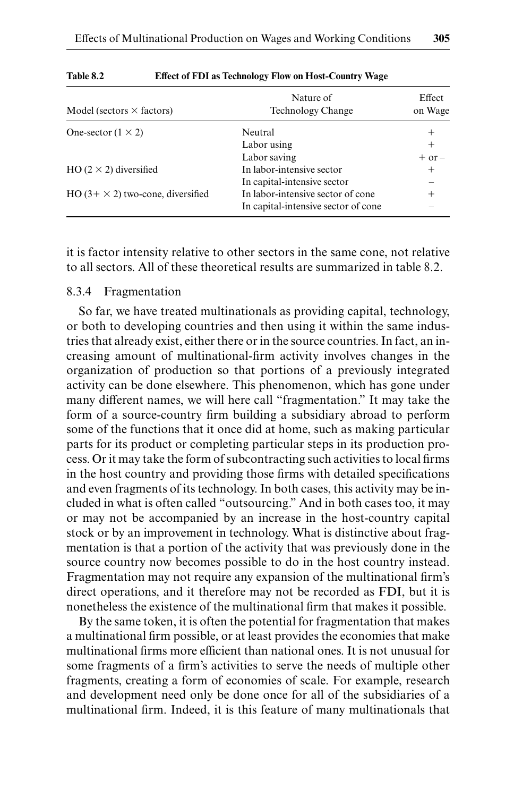| Model (sectors $\times$ factors)          | Nature of<br><b>Technology Change</b> | Effect<br>on Wage |
|-------------------------------------------|---------------------------------------|-------------------|
| One-sector $(1 \times 2)$                 | Neutral                               | $^+$              |
|                                           | Labor using                           | $^{+}$            |
| Labor saving                              |                                       | $+$ or $-$        |
| HO $(2 \times 2)$ diversified             | In labor-intensive sector             | $^{+}$            |
|                                           | In capital-intensive sector           |                   |
| HO $(3 + \times 2)$ two-cone, diversified | In labor-intensive sector of cone     | $^{+}$            |
|                                           | In capital-intensive sector of cone   |                   |

| <b>Table 8.2</b> | <b>Effect of FDI as Technology Flow on Host-Country Wage</b> |  |
|------------------|--------------------------------------------------------------|--|
|                  |                                                              |  |

it is factor intensity relative to other sectors in the same cone, not relative to all sectors. All of these theoretical results are summarized in table 8.2.

### 8.3.4 Fragmentation

So far, we have treated multinationals as providing capital, technology, or both to developing countries and then using it within the same industries that already exist, either there or in the source countries. In fact, an increasing amount of multinational-firm activity involves changes in the organization of production so that portions of a previously integrated activity can be done elsewhere. This phenomenon, which has gone under many different names, we will here call "fragmentation." It may take the form of a source-country firm building a subsidiary abroad to perform some of the functions that it once did at home, such as making particular parts for its product or completing particular steps in its production process. Or it may take the form of subcontracting such activities to local firms in the host country and providing those firms with detailed specifications and even fragments of its technology. In both cases, this activity may be included in what is often called "outsourcing." And in both cases too, it may or may not be accompanied by an increase in the host-country capital stock or by an improvement in technology. What is distinctive about fragmentation is that a portion of the activity that was previously done in the source country now becomes possible to do in the host country instead. Fragmentation may not require any expansion of the multinational firm's direct operations, and it therefore may not be recorded as FDI, but it is nonetheless the existence of the multinational firm that makes it possible.

By the same token, it is often the potential for fragmentation that makes a multinational firm possible, or at least provides the economies that make multinational firms more efficient than national ones. It is not unusual for some fragments of a firm's activities to serve the needs of multiple other fragments, creating a form of economies of scale. For example, research and development need only be done once for all of the subsidiaries of a multinational firm. Indeed, it is this feature of many multinationals that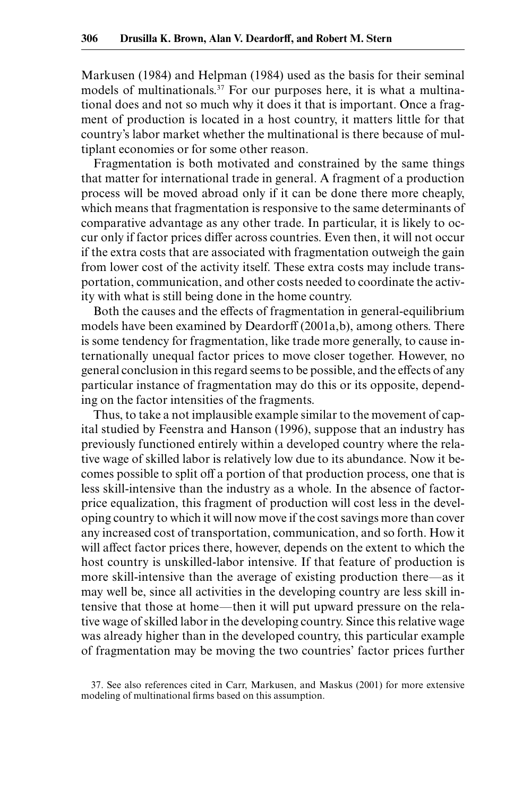Markusen (1984) and Helpman (1984) used as the basis for their seminal models of multinationals.<sup>37</sup> For our purposes here, it is what a multinational does and not so much why it does it that is important. Once a fragment of production is located in a host country, it matters little for that country's labor market whether the multinational is there because of multiplant economies or for some other reason.

Fragmentation is both motivated and constrained by the same things that matter for international trade in general. A fragment of a production process will be moved abroad only if it can be done there more cheaply, which means that fragmentation is responsive to the same determinants of comparative advantage as any other trade. In particular, it is likely to occur only if factor prices differ across countries. Even then, it will not occur if the extra costs that are associated with fragmentation outweigh the gain from lower cost of the activity itself. These extra costs may include transportation, communication, and other costs needed to coordinate the activity with what is still being done in the home country.

Both the causes and the effects of fragmentation in general-equilibrium models have been examined by Deardorff (2001a,b), among others. There is some tendency for fragmentation, like trade more generally, to cause internationally unequal factor prices to move closer together. However, no general conclusion in this regard seems to be possible, and the effects of any particular instance of fragmentation may do this or its opposite, depending on the factor intensities of the fragments.

Thus, to take a not implausible example similar to the movement of capital studied by Feenstra and Hanson (1996), suppose that an industry has previously functioned entirely within a developed country where the relative wage of skilled labor is relatively low due to its abundance. Now it becomes possible to split off a portion of that production process, one that is less skill-intensive than the industry as a whole. In the absence of factorprice equalization, this fragment of production will cost less in the developing country to which it will now move if the cost savings more than cover any increased cost of transportation, communication, and so forth. How it will affect factor prices there, however, depends on the extent to which the host country is unskilled-labor intensive. If that feature of production is more skill-intensive than the average of existing production there—as it may well be, since all activities in the developing country are less skill intensive that those at home—then it will put upward pressure on the relative wage of skilled labor in the developing country. Since this relative wage was already higher than in the developed country, this particular example of fragmentation may be moving the two countries' factor prices further

<sup>37.</sup> See also references cited in Carr, Markusen, and Maskus (2001) for more extensive modeling of multinational firms based on this assumption.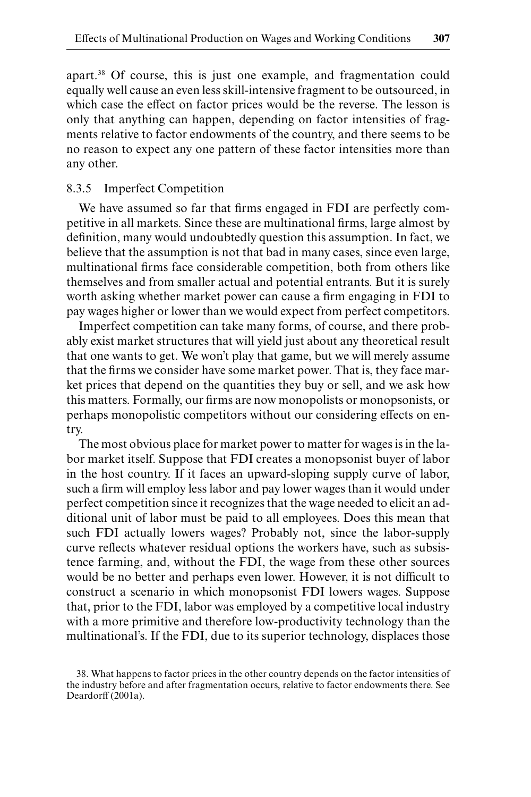apart.38 Of course, this is just one example, and fragmentation could equally well cause an even less skill-intensive fragment to be outsourced, in which case the effect on factor prices would be the reverse. The lesson is only that anything can happen, depending on factor intensities of fragments relative to factor endowments of the country, and there seems to be no reason to expect any one pattern of these factor intensities more than any other.

# 8.3.5 Imperfect Competition

We have assumed so far that firms engaged in FDI are perfectly competitive in all markets. Since these are multinational firms, large almost by definition, many would undoubtedly question this assumption. In fact, we believe that the assumption is not that bad in many cases, since even large, multinational firms face considerable competition, both from others like themselves and from smaller actual and potential entrants. But it is surely worth asking whether market power can cause a firm engaging in FDI to pay wages higher or lower than we would expect from perfect competitors.

Imperfect competition can take many forms, of course, and there probably exist market structures that will yield just about any theoretical result that one wants to get. We won't play that game, but we will merely assume that the firms we consider have some market power. That is, they face market prices that depend on the quantities they buy or sell, and we ask how this matters. Formally, our firms are now monopolists or monopsonists, or perhaps monopolistic competitors without our considering effects on entry.

The most obvious place for market power to matter for wages is in the labor market itself. Suppose that FDI creates a monopsonist buyer of labor in the host country. If it faces an upward-sloping supply curve of labor, such a firm will employ less labor and pay lower wages than it would under perfect competition since it recognizes that the wage needed to elicit an additional unit of labor must be paid to all employees. Does this mean that such FDI actually lowers wages? Probably not, since the labor-supply curve reflects whatever residual options the workers have, such as subsistence farming, and, without the FDI, the wage from these other sources would be no better and perhaps even lower. However, it is not difficult to construct a scenario in which monopsonist FDI lowers wages. Suppose that, prior to the FDI, labor was employed by a competitive local industry with a more primitive and therefore low-productivity technology than the multinational's. If the FDI, due to its superior technology, displaces those

<sup>38.</sup> What happens to factor prices in the other country depends on the factor intensities of the industry before and after fragmentation occurs, relative to factor endowments there. See Deardorff (2001a).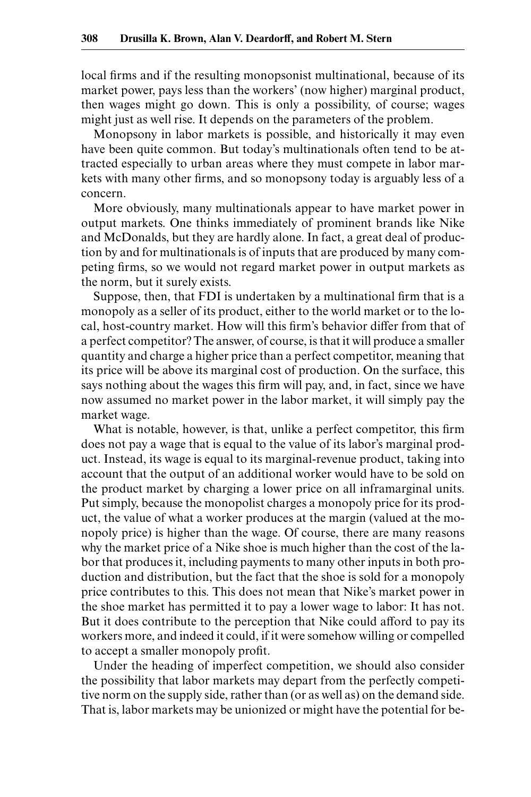local firms and if the resulting monopsonist multinational, because of its market power, pays less than the workers' (now higher) marginal product, then wages might go down. This is only a possibility, of course; wages might just as well rise. It depends on the parameters of the problem.

Monopsony in labor markets is possible, and historically it may even have been quite common. But today's multinationals often tend to be attracted especially to urban areas where they must compete in labor markets with many other firms, and so monopsony today is arguably less of a concern.

More obviously, many multinationals appear to have market power in output markets. One thinks immediately of prominent brands like Nike and McDonalds, but they are hardly alone. In fact, a great deal of production by and for multinationals is of inputs that are produced by many competing firms, so we would not regard market power in output markets as the norm, but it surely exists.

Suppose, then, that FDI is undertaken by a multinational firm that is a monopoly as a seller of its product, either to the world market or to the local, host-country market. How will this firm's behavior differ from that of a perfect competitor? The answer, of course, is that it will produce a smaller quantity and charge a higher price than a perfect competitor, meaning that its price will be above its marginal cost of production. On the surface, this says nothing about the wages this firm will pay, and, in fact, since we have now assumed no market power in the labor market, it will simply pay the market wage.

What is notable, however, is that, unlike a perfect competitor, this firm does not pay a wage that is equal to the value of its labor's marginal product. Instead, its wage is equal to its marginal-revenue product, taking into account that the output of an additional worker would have to be sold on the product market by charging a lower price on all inframarginal units. Put simply, because the monopolist charges a monopoly price for its product, the value of what a worker produces at the margin (valued at the monopoly price) is higher than the wage. Of course, there are many reasons why the market price of a Nike shoe is much higher than the cost of the labor that produces it, including payments to many other inputs in both production and distribution, but the fact that the shoe is sold for a monopoly price contributes to this. This does not mean that Nike's market power in the shoe market has permitted it to pay a lower wage to labor: It has not. But it does contribute to the perception that Nike could afford to pay its workers more, and indeed it could, if it were somehow willing or compelled to accept a smaller monopoly profit.

Under the heading of imperfect competition, we should also consider the possibility that labor markets may depart from the perfectly competitive norm on the supply side, rather than (or as well as) on the demand side. That is, labor markets may be unionized or might have the potential for be-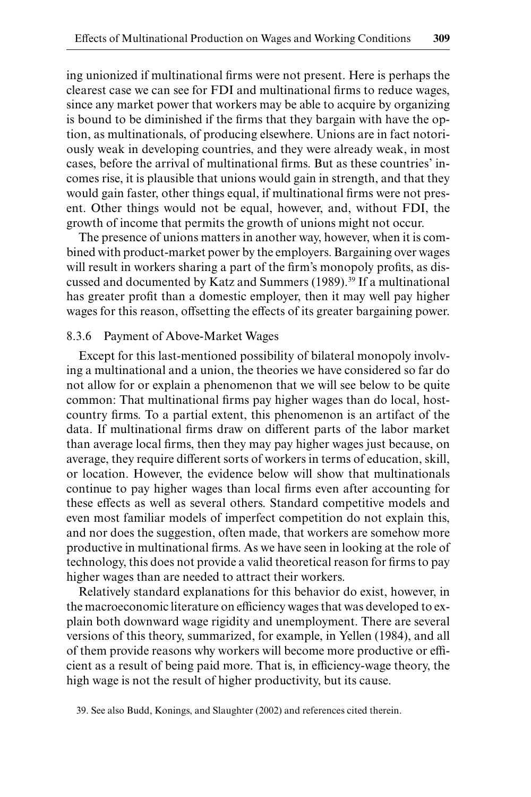ing unionized if multinational firms were not present. Here is perhaps the clearest case we can see for FDI and multinational firms to reduce wages, since any market power that workers may be able to acquire by organizing is bound to be diminished if the firms that they bargain with have the option, as multinationals, of producing elsewhere. Unions are in fact notoriously weak in developing countries, and they were already weak, in most cases, before the arrival of multinational firms. But as these countries' incomes rise, it is plausible that unions would gain in strength, and that they would gain faster, other things equal, if multinational firms were not present. Other things would not be equal, however, and, without FDI, the growth of income that permits the growth of unions might not occur.

The presence of unions matters in another way, however, when it is combined with product-market power by the employers. Bargaining over wages will result in workers sharing a part of the firm's monopoly profits, as discussed and documented by Katz and Summers (1989).39 If a multinational has greater profit than a domestic employer, then it may well pay higher wages for this reason, offsetting the effects of its greater bargaining power.

#### 8.3.6 Payment of Above-Market Wages

Except for this last-mentioned possibility of bilateral monopoly involving a multinational and a union, the theories we have considered so far do not allow for or explain a phenomenon that we will see below to be quite common: That multinational firms pay higher wages than do local, hostcountry firms. To a partial extent, this phenomenon is an artifact of the data. If multinational firms draw on different parts of the labor market than average local firms, then they may pay higher wages just because, on average, they require different sorts of workers in terms of education, skill, or location. However, the evidence below will show that multinationals continue to pay higher wages than local firms even after accounting for these effects as well as several others. Standard competitive models and even most familiar models of imperfect competition do not explain this, and nor does the suggestion, often made, that workers are somehow more productive in multinational firms. As we have seen in looking at the role of technology, this does not provide a valid theoretical reason for firms to pay higher wages than are needed to attract their workers.

Relatively standard explanations for this behavior do exist, however, in the macroeconomic literature on efficiency wages that was developed to explain both downward wage rigidity and unemployment. There are several versions of this theory, summarized, for example, in Yellen (1984), and all of them provide reasons why workers will become more productive or efficient as a result of being paid more. That is, in efficiency-wage theory, the high wage is not the result of higher productivity, but its cause.

<sup>39.</sup> See also Budd, Konings, and Slaughter (2002) and references cited therein.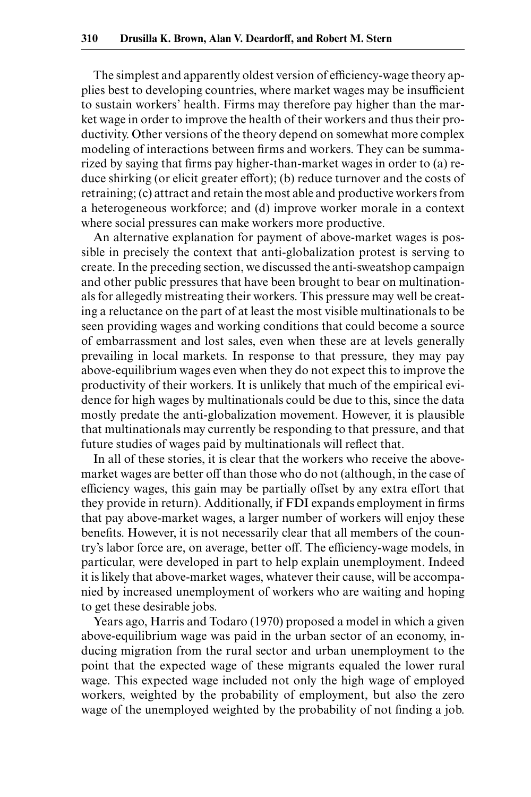The simplest and apparently oldest version of efficiency-wage theory applies best to developing countries, where market wages may be insufficient to sustain workers' health. Firms may therefore pay higher than the market wage in order to improve the health of their workers and thus their productivity. Other versions of the theory depend on somewhat more complex modeling of interactions between firms and workers. They can be summarized by saying that firms pay higher-than-market wages in order to (a) reduce shirking (or elicit greater effort); (b) reduce turnover and the costs of retraining; (c) attract and retain the most able and productive workers from a heterogeneous workforce; and (d) improve worker morale in a context where social pressures can make workers more productive.

An alternative explanation for payment of above-market wages is possible in precisely the context that anti-globalization protest is serving to create. In the preceding section, we discussed the anti-sweatshop campaign and other public pressures that have been brought to bear on multinationals for allegedly mistreating their workers. This pressure may well be creating a reluctance on the part of at least the most visible multinationals to be seen providing wages and working conditions that could become a source of embarrassment and lost sales, even when these are at levels generally prevailing in local markets. In response to that pressure, they may pay above-equilibrium wages even when they do not expect this to improve the productivity of their workers. It is unlikely that much of the empirical evidence for high wages by multinationals could be due to this, since the data mostly predate the anti-globalization movement. However, it is plausible that multinationals may currently be responding to that pressure, and that future studies of wages paid by multinationals will reflect that.

In all of these stories, it is clear that the workers who receive the abovemarket wages are better off than those who do not (although, in the case of efficiency wages, this gain may be partially offset by any extra effort that they provide in return). Additionally, if FDI expands employment in firms that pay above-market wages, a larger number of workers will enjoy these benefits. However, it is not necessarily clear that all members of the country's labor force are, on average, better off. The efficiency-wage models, in particular, were developed in part to help explain unemployment. Indeed it is likely that above-market wages, whatever their cause, will be accompanied by increased unemployment of workers who are waiting and hoping to get these desirable jobs.

Years ago, Harris and Todaro (1970) proposed a model in which a given above-equilibrium wage was paid in the urban sector of an economy, inducing migration from the rural sector and urban unemployment to the point that the expected wage of these migrants equaled the lower rural wage. This expected wage included not only the high wage of employed workers, weighted by the probability of employment, but also the zero wage of the unemployed weighted by the probability of not finding a job.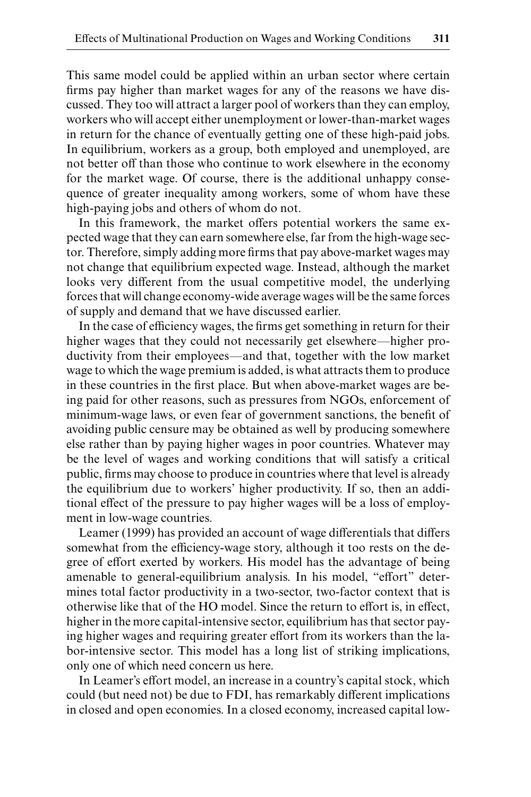This same model could be applied within an urban sector where certain firms pay higher than market wages for any of the reasons we have discussed. They too will attract a larger pool of workers than they can employ, workers who will accept either unemployment or lower-than-market wages in return for the chance of eventually getting one of these high-paid jobs. In equilibrium, workers as a group, both employed and unemployed, are not better off than those who continue to work elsewhere in the economy for the market wage. Of course, there is the additional unhappy consequence of greater inequality among workers, some of whom have these high-paying jobs and others of whom do not.

In this framework, the market offers potential workers the same expected wage that they can earn somewhere else, far from the high-wage sector. Therefore, simply adding more firms that pay above-market wages may not change that equilibrium expected wage. Instead, although the market looks very different from the usual competitive model, the underlying forces that will change economy-wide average wages will be the same forces of supply and demand that we have discussed earlier.

In the case of efficiency wages, the firms get something in return for their higher wages that they could not necessarily get elsewhere—higher productivity from their employees—and that, together with the low market wage to which the wage premium is added, is what attracts them to produce in these countries in the first place. But when above-market wages are being paid for other reasons, such as pressures from NGOs, enforcement of minimum-wage laws, or even fear of government sanctions, the benefit of avoiding public censure may be obtained as well by producing somewhere else rather than by paying higher wages in poor countries. Whatever may be the level of wages and working conditions that will satisfy a critical public, firms may choose to produce in countries where that level is already the equilibrium due to workers' higher productivity. If so, then an additional effect of the pressure to pay higher wages will be a loss of employment in low-wage countries.

Leamer (1999) has provided an account of wage differentials that differs somewhat from the efficiency-wage story, although it too rests on the degree of effort exerted by workers. His model has the advantage of being amenable to general-equilibrium analysis. In his model, "effort" determines total factor productivity in a two-sector, two-factor context that is otherwise like that of the HO model. Since the return to effort is, in effect, higher in the more capital-intensive sector, equilibrium has that sector paying higher wages and requiring greater effort from its workers than the labor-intensive sector. This model has a long list of striking implications, only one of which need concern us here.

In Leamer's effort model, an increase in a country's capital stock, which could (but need not) be due to FDI, has remarkably different implications in closed and open economies. In a closed economy, increased capital low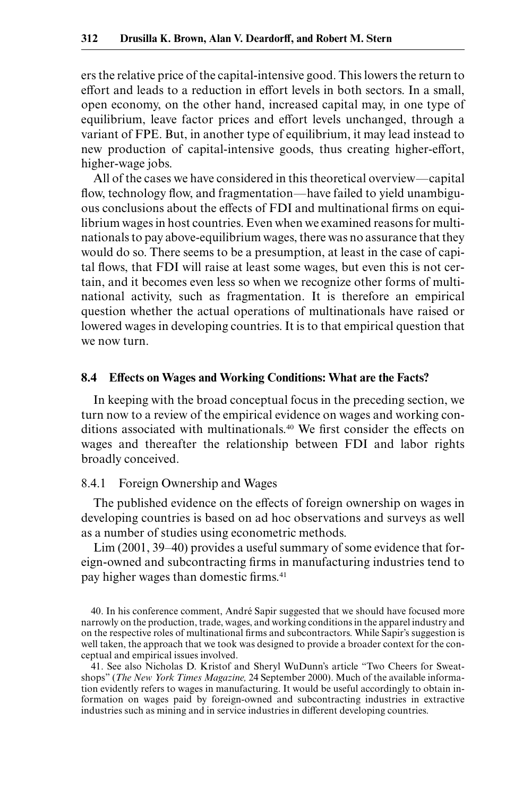ers the relative price of the capital-intensive good. This lowers the return to effort and leads to a reduction in effort levels in both sectors. In a small, open economy, on the other hand, increased capital may, in one type of equilibrium, leave factor prices and effort levels unchanged, through a variant of FPE. But, in another type of equilibrium, it may lead instead to new production of capital-intensive goods, thus creating higher-effort, higher-wage jobs.

All of the cases we have considered in this theoretical overview—capital flow, technology flow, and fragmentation—have failed to yield unambiguous conclusions about the effects of FDI and multinational firms on equilibrium wages in host countries. Even when we examined reasons for multinationals to pay above-equilibrium wages, there was no assurance that they would do so. There seems to be a presumption, at least in the case of capital flows, that FDI will raise at least some wages, but even this is not certain, and it becomes even less so when we recognize other forms of multinational activity, such as fragmentation. It is therefore an empirical question whether the actual operations of multinationals have raised or lowered wages in developing countries. It is to that empirical question that we now turn.

## **8.4 Effects on Wages and Working Conditions: What are the Facts?**

In keeping with the broad conceptual focus in the preceding section, we turn now to a review of the empirical evidence on wages and working conditions associated with multinationals.40 We first consider the effects on wages and thereafter the relationship between FDI and labor rights broadly conceived.

# 8.4.1 Foreign Ownership and Wages

The published evidence on the effects of foreign ownership on wages in developing countries is based on ad hoc observations and surveys as well as a number of studies using econometric methods.

Lim (2001, 39–40) provides a useful summary of some evidence that foreign-owned and subcontracting firms in manufacturing industries tend to pay higher wages than domestic firms.<sup>41</sup>

40. In his conference comment, André Sapir suggested that we should have focused more narrowly on the production, trade, wages, and working conditions in the apparel industry and on the respective roles of multinational firms and subcontractors. While Sapir's suggestion is well taken, the approach that we took was designed to provide a broader context for the conceptual and empirical issues involved.

41. See also Nicholas D. Kristof and Sheryl WuDunn's article "Two Cheers for Sweatshops" (*The New York Times Magazine,* 24 September 2000). Much of the available information evidently refers to wages in manufacturing. It would be useful accordingly to obtain information on wages paid by foreign-owned and subcontracting industries in extractive industries such as mining and in service industries in different developing countries.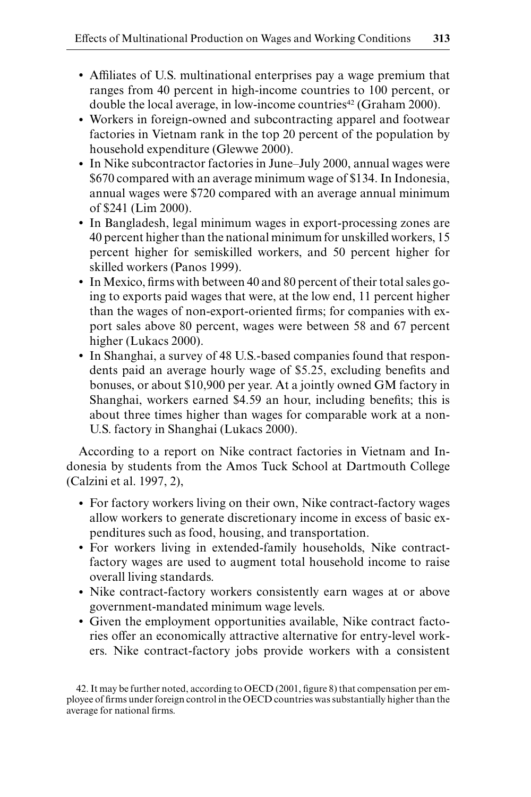- Affiliates of U.S. multinational enterprises pay a wage premium that ranges from 40 percent in high-income countries to 100 percent, or double the local average, in low-income countries<sup>42</sup> (Graham 2000).
- Workers in foreign-owned and subcontracting apparel and footwear factories in Vietnam rank in the top 20 percent of the population by household expenditure (Glewwe 2000).
- In Nike subcontractor factories in June–July 2000, annual wages were \$670 compared with an average minimum wage of \$134. In Indonesia, annual wages were \$720 compared with an average annual minimum of \$241 (Lim 2000).
- In Bangladesh, legal minimum wages in export-processing zones are 40 percent higher than the national minimum for unskilled workers, 15 percent higher for semiskilled workers, and 50 percent higher for skilled workers (Panos 1999).
- In Mexico, firms with between 40 and 80 percent of their total sales going to exports paid wages that were, at the low end, 11 percent higher than the wages of non-export-oriented firms; for companies with export sales above 80 percent, wages were between 58 and 67 percent higher (Lukacs 2000).
- In Shanghai, a survey of 48 U.S.-based companies found that respondents paid an average hourly wage of \$5.25, excluding benefits and bonuses, or about \$10,900 per year. At a jointly owned GM factory in Shanghai, workers earned \$4.59 an hour, including benefits; this is about three times higher than wages for comparable work at a non-U.S. factory in Shanghai (Lukacs 2000).

According to a report on Nike contract factories in Vietnam and Indonesia by students from the Amos Tuck School at Dartmouth College (Calzini et al. 1997, 2),

- For factory workers living on their own, Nike contract-factory wages allow workers to generate discretionary income in excess of basic expenditures such as food, housing, and transportation.
- For workers living in extended-family households, Nike contractfactory wages are used to augment total household income to raise overall living standards.
- Nike contract-factory workers consistently earn wages at or above government-mandated minimum wage levels.
- Given the employment opportunities available, Nike contract factories offer an economically attractive alternative for entry-level workers. Nike contract-factory jobs provide workers with a consistent

<sup>42.</sup> It may be further noted, according to OECD (2001, figure 8) that compensation per employee of firms under foreign control in the OECD countries was substantially higher than the average for national firms.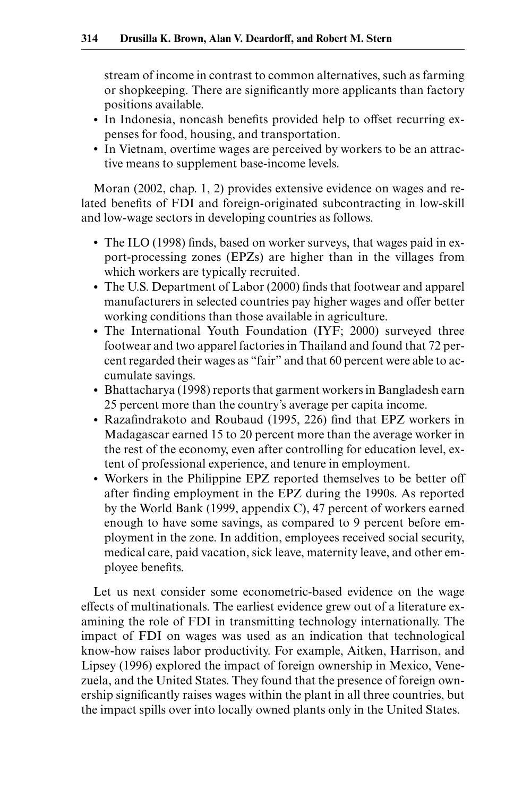stream of income in contrast to common alternatives, such as farming or shopkeeping. There are significantly more applicants than factory positions available.

- In Indonesia, noncash benefits provided help to offset recurring expenses for food, housing, and transportation.
- In Vietnam, overtime wages are perceived by workers to be an attractive means to supplement base-income levels.

Moran (2002, chap. 1, 2) provides extensive evidence on wages and related benefits of FDI and foreign-originated subcontracting in low-skill and low-wage sectors in developing countries as follows.

- The ILO (1998) finds, based on worker surveys, that wages paid in export-processing zones (EPZs) are higher than in the villages from which workers are typically recruited.
- The U.S. Department of Labor (2000) finds that footwear and apparel manufacturers in selected countries pay higher wages and offer better working conditions than those available in agriculture.
- The International Youth Foundation (IYF; 2000) surveyed three footwear and two apparel factories in Thailand and found that 72 percent regarded their wages as "fair" and that 60 percent were able to accumulate savings.
- Bhattacharya (1998) reports that garment workers in Bangladesh earn 25 percent more than the country's average per capita income.
- Razafindrakoto and Roubaud (1995, 226) find that EPZ workers in Madagascar earned 15 to 20 percent more than the average worker in the rest of the economy, even after controlling for education level, extent of professional experience, and tenure in employment.
- Workers in the Philippine EPZ reported themselves to be better off after finding employment in the EPZ during the 1990s. As reported by the World Bank (1999, appendix C), 47 percent of workers earned enough to have some savings, as compared to 9 percent before employment in the zone. In addition, employees received social security, medical care, paid vacation, sick leave, maternity leave, and other employee benefits.

Let us next consider some econometric-based evidence on the wage effects of multinationals. The earliest evidence grew out of a literature examining the role of FDI in transmitting technology internationally. The impact of FDI on wages was used as an indication that technological know-how raises labor productivity. For example, Aitken, Harrison, and Lipsey (1996) explored the impact of foreign ownership in Mexico, Venezuela, and the United States. They found that the presence of foreign ownership significantly raises wages within the plant in all three countries, but the impact spills over into locally owned plants only in the United States.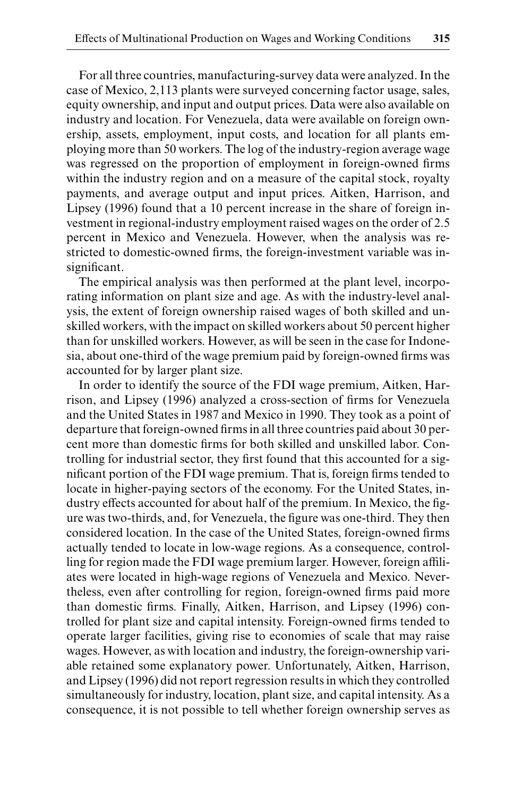For all three countries, manufacturing-survey data were analyzed. In the case of Mexico, 2,113 plants were surveyed concerning factor usage, sales, equity ownership, and input and output prices. Data were also available on industry and location. For Venezuela, data were available on foreign ownership, assets, employment, input costs, and location for all plants employing more than 50 workers. The log of the industry-region average wage was regressed on the proportion of employment in foreign-owned firms within the industry region and on a measure of the capital stock, royalty payments, and average output and input prices. Aitken, Harrison, and Lipsey (1996) found that a 10 percent increase in the share of foreign investment in regional-industry employment raised wages on the order of 2.5 percent in Mexico and Venezuela. However, when the analysis was restricted to domestic-owned firms, the foreign-investment variable was insignificant.

The empirical analysis was then performed at the plant level, incorporating information on plant size and age. As with the industry-level analysis, the extent of foreign ownership raised wages of both skilled and unskilled workers, with the impact on skilled workers about 50 percent higher than for unskilled workers. However, as will be seen in the case for Indonesia, about one-third of the wage premium paid by foreign-owned firms was accounted for by larger plant size.

In order to identify the source of the FDI wage premium, Aitken, Harrison, and Lipsey (1996) analyzed a cross-section of firms for Venezuela and the United States in 1987 and Mexico in 1990. They took as a point of departure that foreign-owned firms in all three countries paid about 30 percent more than domestic firms for both skilled and unskilled labor. Controlling for industrial sector, they first found that this accounted for a significant portion of the FDI wage premium. That is, foreign firms tended to locate in higher-paying sectors of the economy. For the United States, industry effects accounted for about half of the premium. In Mexico, the figure was two-thirds, and, for Venezuela, the figure was one-third. They then considered location. In the case of the United States, foreign-owned firms actually tended to locate in low-wage regions. As a consequence, controlling for region made the FDI wage premium larger. However, foreign affiliates were located in high-wage regions of Venezuela and Mexico. Nevertheless, even after controlling for region, foreign-owned firms paid more than domestic firms. Finally, Aitken, Harrison, and Lipsey (1996) controlled for plant size and capital intensity. Foreign-owned firms tended to operate larger facilities, giving rise to economies of scale that may raise wages. However, as with location and industry, the foreign-ownership variable retained some explanatory power. Unfortunately, Aitken, Harrison, and Lipsey (1996) did not report regression results in which they controlled simultaneously for industry, location, plant size, and capital intensity. As a consequence, it is not possible to tell whether foreign ownership serves as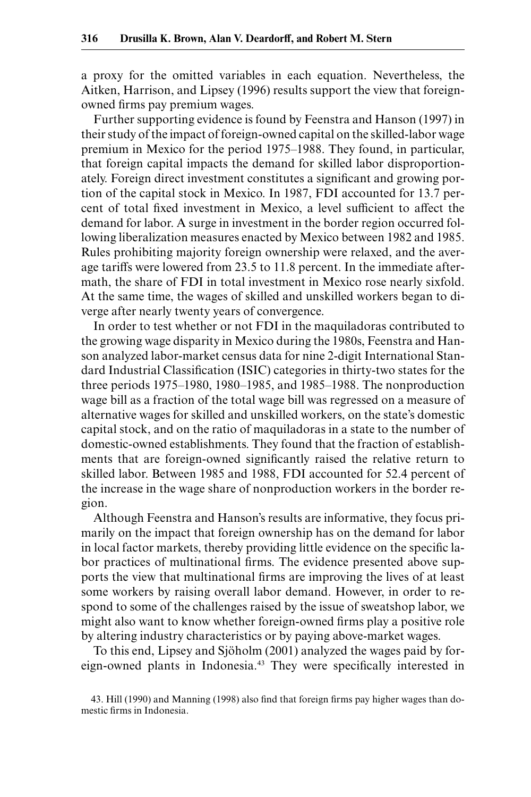a proxy for the omitted variables in each equation. Nevertheless, the Aitken, Harrison, and Lipsey (1996) results support the view that foreignowned firms pay premium wages.

Further supporting evidence is found by Feenstra and Hanson (1997) in their study of the impact of foreign-owned capital on the skilled-labor wage premium in Mexico for the period 1975–1988. They found, in particular, that foreign capital impacts the demand for skilled labor disproportionately. Foreign direct investment constitutes a significant and growing portion of the capital stock in Mexico. In 1987, FDI accounted for 13.7 percent of total fixed investment in Mexico, a level sufficient to affect the demand for labor. A surge in investment in the border region occurred following liberalization measures enacted by Mexico between 1982 and 1985. Rules prohibiting majority foreign ownership were relaxed, and the average tariffs were lowered from 23.5 to 11.8 percent. In the immediate aftermath, the share of FDI in total investment in Mexico rose nearly sixfold. At the same time, the wages of skilled and unskilled workers began to diverge after nearly twenty years of convergence.

In order to test whether or not FDI in the maquiladoras contributed to the growing wage disparity in Mexico during the 1980s, Feenstra and Hanson analyzed labor-market census data for nine 2-digit International Standard Industrial Classification (ISIC) categories in thirty-two states for the three periods 1975–1980, 1980–1985, and 1985–1988. The nonproduction wage bill as a fraction of the total wage bill was regressed on a measure of alternative wages for skilled and unskilled workers, on the state's domestic capital stock, and on the ratio of maquiladoras in a state to the number of domestic-owned establishments. They found that the fraction of establishments that are foreign-owned significantly raised the relative return to skilled labor. Between 1985 and 1988, FDI accounted for 52.4 percent of the increase in the wage share of nonproduction workers in the border region.

Although Feenstra and Hanson's results are informative, they focus primarily on the impact that foreign ownership has on the demand for labor in local factor markets, thereby providing little evidence on the specific labor practices of multinational firms. The evidence presented above supports the view that multinational firms are improving the lives of at least some workers by raising overall labor demand. However, in order to respond to some of the challenges raised by the issue of sweatshop labor, we might also want to know whether foreign-owned firms play a positive role by altering industry characteristics or by paying above-market wages.

To this end, Lipsey and Sjöholm (2001) analyzed the wages paid by foreign-owned plants in Indonesia.43 They were specifically interested in

<sup>43.</sup> Hill (1990) and Manning (1998) also find that foreign firms pay higher wages than domestic firms in Indonesia.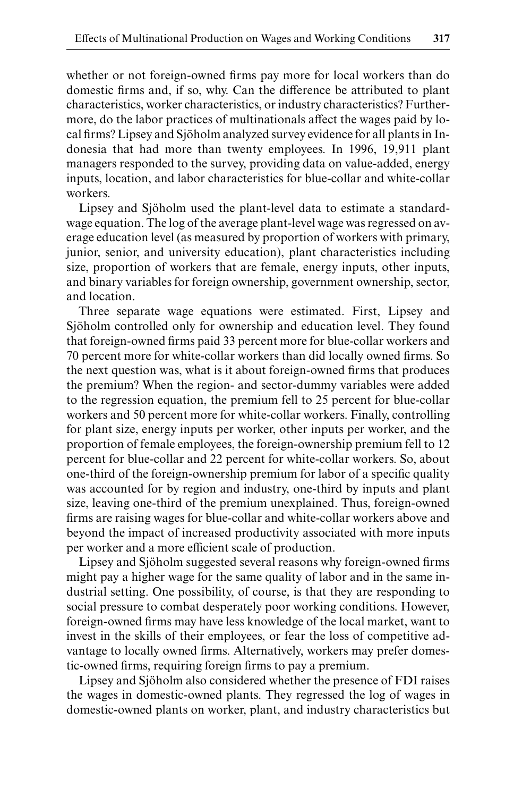whether or not foreign-owned firms pay more for local workers than do domestic firms and, if so, why. Can the difference be attributed to plant characteristics, worker characteristics, or industry characteristics? Furthermore, do the labor practices of multinationals affect the wages paid by local firms? Lipsey and Sjöholm analyzed survey evidence for all plants in Indonesia that had more than twenty employees. In 1996, 19,911 plant managers responded to the survey, providing data on value-added, energy inputs, location, and labor characteristics for blue-collar and white-collar workers.

Lipsey and Sjöholm used the plant-level data to estimate a standardwage equation. The log of the average plant-level wage was regressed on average education level (as measured by proportion of workers with primary, junior, senior, and university education), plant characteristics including size, proportion of workers that are female, energy inputs, other inputs, and binary variables for foreign ownership, government ownership, sector, and location.

Three separate wage equations were estimated. First, Lipsey and Sjöholm controlled only for ownership and education level. They found that foreign-owned firms paid 33 percent more for blue-collar workers and 70 percent more for white-collar workers than did locally owned firms. So the next question was, what is it about foreign-owned firms that produces the premium? When the region- and sector-dummy variables were added to the regression equation, the premium fell to 25 percent for blue-collar workers and 50 percent more for white-collar workers. Finally, controlling for plant size, energy inputs per worker, other inputs per worker, and the proportion of female employees, the foreign-ownership premium fell to 12 percent for blue-collar and 22 percent for white-collar workers. So, about one-third of the foreign-ownership premium for labor of a specific quality was accounted for by region and industry, one-third by inputs and plant size, leaving one-third of the premium unexplained. Thus, foreign-owned firms are raising wages for blue-collar and white-collar workers above and beyond the impact of increased productivity associated with more inputs per worker and a more efficient scale of production.

Lipsey and Sjöholm suggested several reasons why foreign-owned firms might pay a higher wage for the same quality of labor and in the same industrial setting. One possibility, of course, is that they are responding to social pressure to combat desperately poor working conditions. However, foreign-owned firms may have less knowledge of the local market, want to invest in the skills of their employees, or fear the loss of competitive advantage to locally owned firms. Alternatively, workers may prefer domestic-owned firms, requiring foreign firms to pay a premium.

Lipsey and Sjöholm also considered whether the presence of FDI raises the wages in domestic-owned plants. They regressed the log of wages in domestic-owned plants on worker, plant, and industry characteristics but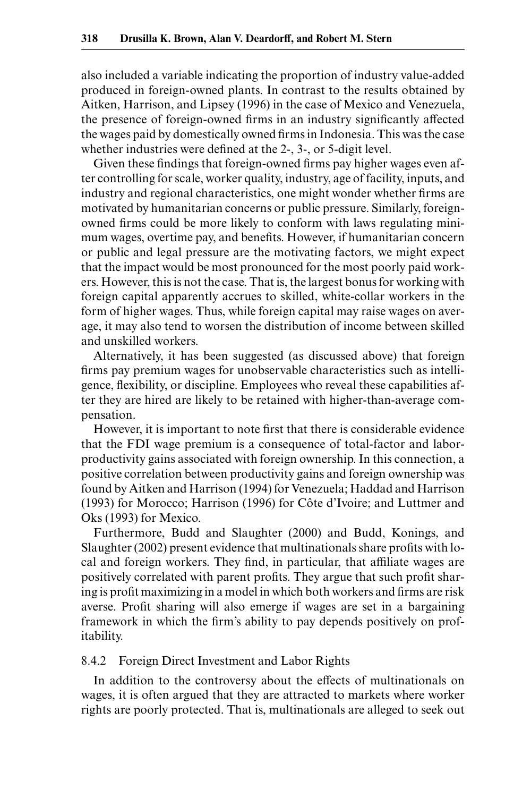also included a variable indicating the proportion of industry value-added produced in foreign-owned plants. In contrast to the results obtained by Aitken, Harrison, and Lipsey (1996) in the case of Mexico and Venezuela, the presence of foreign-owned firms in an industry significantly affected the wages paid by domestically owned firms in Indonesia. This was the case whether industries were defined at the 2-, 3-, or 5-digit level.

Given these findings that foreign-owned firms pay higher wages even after controlling for scale, worker quality, industry, age of facility, inputs, and industry and regional characteristics, one might wonder whether firms are motivated by humanitarian concerns or public pressure. Similarly, foreignowned firms could be more likely to conform with laws regulating minimum wages, overtime pay, and benefits. However, if humanitarian concern or public and legal pressure are the motivating factors, we might expect that the impact would be most pronounced for the most poorly paid workers. However, this is not the case. That is, the largest bonus for working with foreign capital apparently accrues to skilled, white-collar workers in the form of higher wages. Thus, while foreign capital may raise wages on average, it may also tend to worsen the distribution of income between skilled and unskilled workers.

Alternatively, it has been suggested (as discussed above) that foreign firms pay premium wages for unobservable characteristics such as intelligence, flexibility, or discipline. Employees who reveal these capabilities after they are hired are likely to be retained with higher-than-average compensation.

However, it is important to note first that there is considerable evidence that the FDI wage premium is a consequence of total-factor and laborproductivity gains associated with foreign ownership. In this connection, a positive correlation between productivity gains and foreign ownership was found by Aitken and Harrison (1994) for Venezuela; Haddad and Harrison (1993) for Morocco; Harrison (1996) for Côte d'Ivoire; and Luttmer and Oks (1993) for Mexico.

Furthermore, Budd and Slaughter (2000) and Budd, Konings, and Slaughter (2002) present evidence that multinationals share profits with local and foreign workers. They find, in particular, that affiliate wages are positively correlated with parent profits. They argue that such profit sharing is profit maximizing in a model in which both workers and firms are risk averse. Profit sharing will also emerge if wages are set in a bargaining framework in which the firm's ability to pay depends positively on profitability.

#### 8.4.2 Foreign Direct Investment and Labor Rights

In addition to the controversy about the effects of multinationals on wages, it is often argued that they are attracted to markets where worker rights are poorly protected. That is, multinationals are alleged to seek out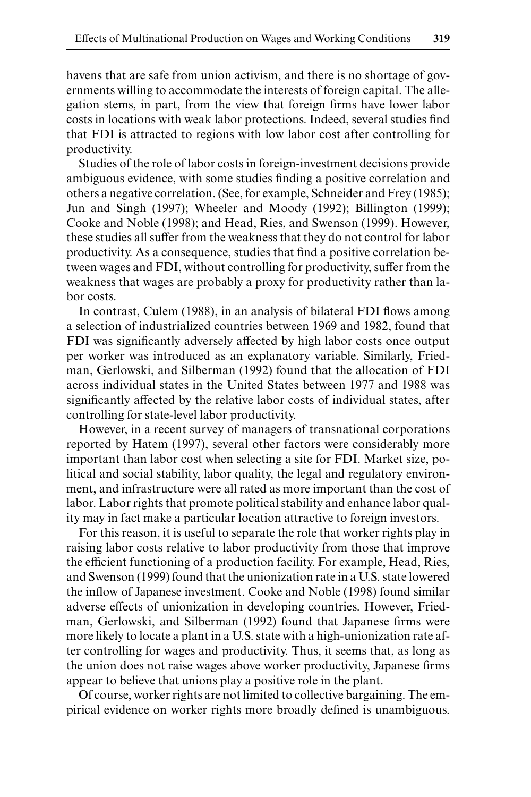havens that are safe from union activism, and there is no shortage of governments willing to accommodate the interests of foreign capital. The allegation stems, in part, from the view that foreign firms have lower labor costs in locations with weak labor protections. Indeed, several studies find that FDI is attracted to regions with low labor cost after controlling for productivity.

Studies of the role of labor costs in foreign-investment decisions provide ambiguous evidence, with some studies finding a positive correlation and others a negative correlation. (See, for example, Schneider and Frey (1985); Jun and Singh (1997); Wheeler and Moody (1992); Billington (1999); Cooke and Noble (1998); and Head, Ries, and Swenson (1999). However, these studies all suffer from the weakness that they do not control for labor productivity. As a consequence, studies that find a positive correlation between wages and FDI, without controlling for productivity, suffer from the weakness that wages are probably a proxy for productivity rather than labor costs.

In contrast, Culem (1988), in an analysis of bilateral FDI flows among a selection of industrialized countries between 1969 and 1982, found that FDI was significantly adversely affected by high labor costs once output per worker was introduced as an explanatory variable. Similarly, Friedman, Gerlowski, and Silberman (1992) found that the allocation of FDI across individual states in the United States between 1977 and 1988 was significantly affected by the relative labor costs of individual states, after controlling for state-level labor productivity.

However, in a recent survey of managers of transnational corporations reported by Hatem (1997), several other factors were considerably more important than labor cost when selecting a site for FDI. Market size, political and social stability, labor quality, the legal and regulatory environment, and infrastructure were all rated as more important than the cost of labor. Labor rights that promote political stability and enhance labor quality may in fact make a particular location attractive to foreign investors.

For this reason, it is useful to separate the role that worker rights play in raising labor costs relative to labor productivity from those that improve the efficient functioning of a production facility. For example, Head, Ries, and Swenson (1999) found that the unionization rate in a U.S. state lowered the inflow of Japanese investment. Cooke and Noble (1998) found similar adverse effects of unionization in developing countries. However, Friedman, Gerlowski, and Silberman (1992) found that Japanese firms were more likely to locate a plant in a U.S. state with a high-unionization rate after controlling for wages and productivity. Thus, it seems that, as long as the union does not raise wages above worker productivity, Japanese firms appear to believe that unions play a positive role in the plant.

Of course, worker rights are not limited to collective bargaining. The empirical evidence on worker rights more broadly defined is unambiguous.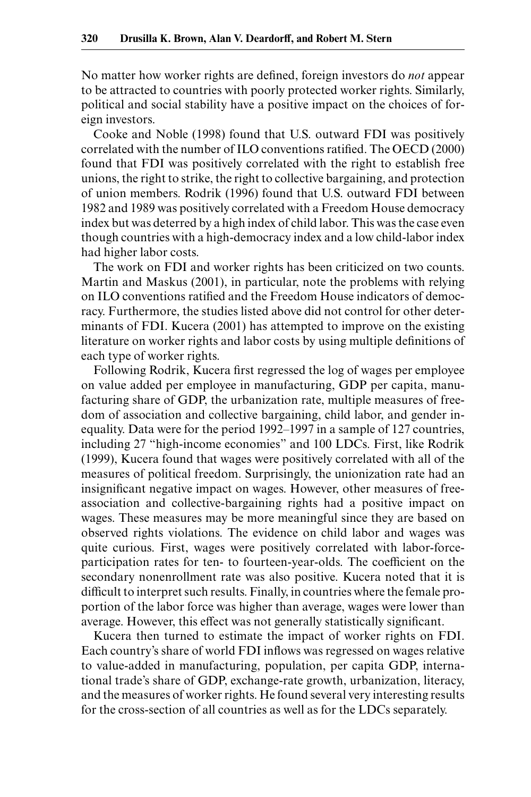No matter how worker rights are defined, foreign investors do *not* appear to be attracted to countries with poorly protected worker rights. Similarly, political and social stability have a positive impact on the choices of foreign investors.

Cooke and Noble (1998) found that U.S. outward FDI was positively correlated with the number of ILO conventions ratified. The OECD (2000) found that FDI was positively correlated with the right to establish free unions, the right to strike, the right to collective bargaining, and protection of union members. Rodrik (1996) found that U.S. outward FDI between 1982 and 1989 was positively correlated with a Freedom House democracy index but was deterred by a high index of child labor. This was the case even though countries with a high-democracy index and a low child-labor index had higher labor costs.

The work on FDI and worker rights has been criticized on two counts. Martin and Maskus (2001), in particular, note the problems with relying on ILO conventions ratified and the Freedom House indicators of democracy. Furthermore, the studies listed above did not control for other determinants of FDI. Kucera (2001) has attempted to improve on the existing literature on worker rights and labor costs by using multiple definitions of each type of worker rights.

Following Rodrik, Kucera first regressed the log of wages per employee on value added per employee in manufacturing, GDP per capita, manufacturing share of GDP, the urbanization rate, multiple measures of freedom of association and collective bargaining, child labor, and gender inequality. Data were for the period 1992–1997 in a sample of 127 countries, including 27 "high-income economies" and 100 LDCs. First, like Rodrik (1999), Kucera found that wages were positively correlated with all of the measures of political freedom. Surprisingly, the unionization rate had an insignificant negative impact on wages. However, other measures of freeassociation and collective-bargaining rights had a positive impact on wages. These measures may be more meaningful since they are based on observed rights violations. The evidence on child labor and wages was quite curious. First, wages were positively correlated with labor-forceparticipation rates for ten- to fourteen-year-olds. The coefficient on the secondary nonenrollment rate was also positive. Kucera noted that it is difficult to interpret such results. Finally, in countries where the female proportion of the labor force was higher than average, wages were lower than average. However, this effect was not generally statistically significant.

Kucera then turned to estimate the impact of worker rights on FDI. Each country's share of world FDI inflows was regressed on wages relative to value-added in manufacturing, population, per capita GDP, international trade's share of GDP, exchange-rate growth, urbanization, literacy, and the measures of worker rights. He found several very interesting results for the cross-section of all countries as well as for the LDCs separately.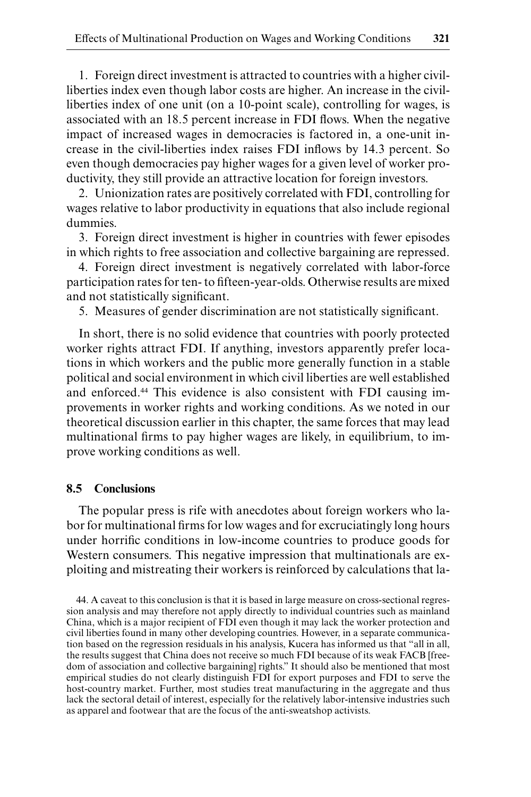1. Foreign direct investment is attracted to countries with a higher civilliberties index even though labor costs are higher. An increase in the civilliberties index of one unit (on a 10-point scale), controlling for wages, is associated with an 18.5 percent increase in FDI flows. When the negative impact of increased wages in democracies is factored in, a one-unit increase in the civil-liberties index raises FDI inflows by 14.3 percent. So even though democracies pay higher wages for a given level of worker productivity, they still provide an attractive location for foreign investors.

2. Unionization rates are positively correlated with FDI, controlling for wages relative to labor productivity in equations that also include regional dummies.

3. Foreign direct investment is higher in countries with fewer episodes in which rights to free association and collective bargaining are repressed.

4. Foreign direct investment is negatively correlated with labor-force participation rates for ten- to fifteen-year-olds. Otherwise results are mixed and not statistically significant.

5. Measures of gender discrimination are not statistically significant.

In short, there is no solid evidence that countries with poorly protected worker rights attract FDI. If anything, investors apparently prefer locations in which workers and the public more generally function in a stable political and social environment in which civil liberties are well established and enforced.44 This evidence is also consistent with FDI causing improvements in worker rights and working conditions. As we noted in our theoretical discussion earlier in this chapter, the same forces that may lead multinational firms to pay higher wages are likely, in equilibrium, to improve working conditions as well.

# **8.5 Conclusions**

The popular press is rife with anecdotes about foreign workers who labor for multinational firms for low wages and for excruciatingly long hours under horrific conditions in low-income countries to produce goods for Western consumers. This negative impression that multinationals are exploiting and mistreating their workers is reinforced by calculations that la-

44. A caveat to this conclusion is that it is based in large measure on cross-sectional regression analysis and may therefore not apply directly to individual countries such as mainland China, which is a major recipient of FDI even though it may lack the worker protection and civil liberties found in many other developing countries. However, in a separate communication based on the regression residuals in his analysis, Kucera has informed us that "all in all, the results suggest that China does not receive so much FDI because of its weak FACB [freedom of association and collective bargaining] rights." It should also be mentioned that most empirical studies do not clearly distinguish FDI for export purposes and FDI to serve the host-country market. Further, most studies treat manufacturing in the aggregate and thus lack the sectoral detail of interest, especially for the relatively labor-intensive industries such as apparel and footwear that are the focus of the anti-sweatshop activists.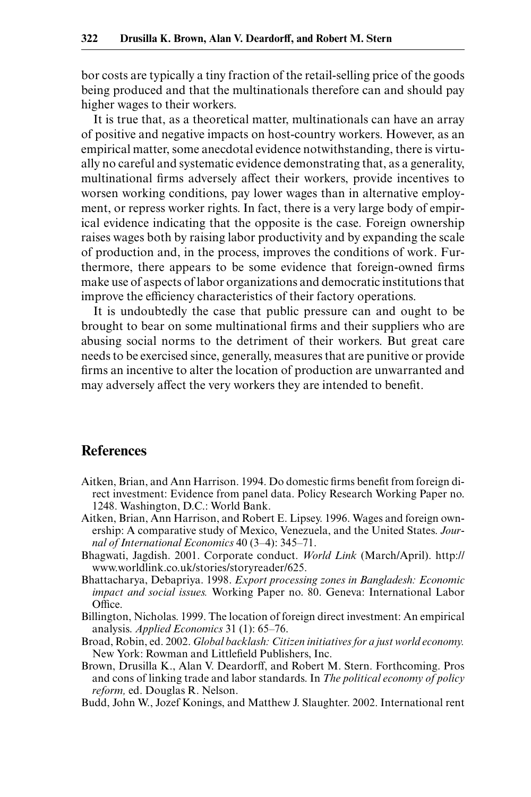bor costs are typically a tiny fraction of the retail-selling price of the goods being produced and that the multinationals therefore can and should pay higher wages to their workers.

It is true that, as a theoretical matter, multinationals can have an array of positive and negative impacts on host-country workers. However, as an empirical matter, some anecdotal evidence notwithstanding, there is virtually no careful and systematic evidence demonstrating that, as a generality, multinational firms adversely affect their workers, provide incentives to worsen working conditions, pay lower wages than in alternative employment, or repress worker rights. In fact, there is a very large body of empirical evidence indicating that the opposite is the case. Foreign ownership raises wages both by raising labor productivity and by expanding the scale of production and, in the process, improves the conditions of work. Furthermore, there appears to be some evidence that foreign-owned firms make use of aspects of labor organizations and democratic institutions that improve the efficiency characteristics of their factory operations.

It is undoubtedly the case that public pressure can and ought to be brought to bear on some multinational firms and their suppliers who are abusing social norms to the detriment of their workers. But great care needs to be exercised since, generally, measures that are punitive or provide firms an incentive to alter the location of production are unwarranted and may adversely affect the very workers they are intended to benefit.

# **References**

- Aitken, Brian, and Ann Harrison. 1994. Do domestic firms benefit from foreign direct investment: Evidence from panel data. Policy Research Working Paper no. 1248. Washington, D.C.: World Bank.
- Aitken, Brian, Ann Harrison, and Robert E. Lipsey. 1996. Wages and foreign ownership: A comparative study of Mexico, Venezuela, and the United States. *Journal of International Economics* 40 (3–4): 345–71.
- Bhagwati, Jagdish. 2001. Corporate conduct. *World Link* (March/April). http:// www.worldlink.co.uk/stories/storyreader/625.
- Bhattacharya, Debapriya. 1998. *Export processing zones in Bangladesh: Economic impact and social issues.* Working Paper no. 80. Geneva: International Labor Office.
- Billington, Nicholas. 1999. The location of foreign direct investment: An empirical analysis. *Applied Economics* 31 (1): 65–76.
- Broad, Robin, ed. 2002. *Global backlash: Citizen initiatives for a just world economy.* New York: Rowman and Littlefield Publishers, Inc.
- Brown, Drusilla K., Alan V. Deardorff, and Robert M. Stern. Forthcoming. Pros and cons of linking trade and labor standards. In *The political economy of policy reform,* ed. Douglas R. Nelson.
- Budd, John W., Jozef Konings, and Matthew J. Slaughter. 2002. International rent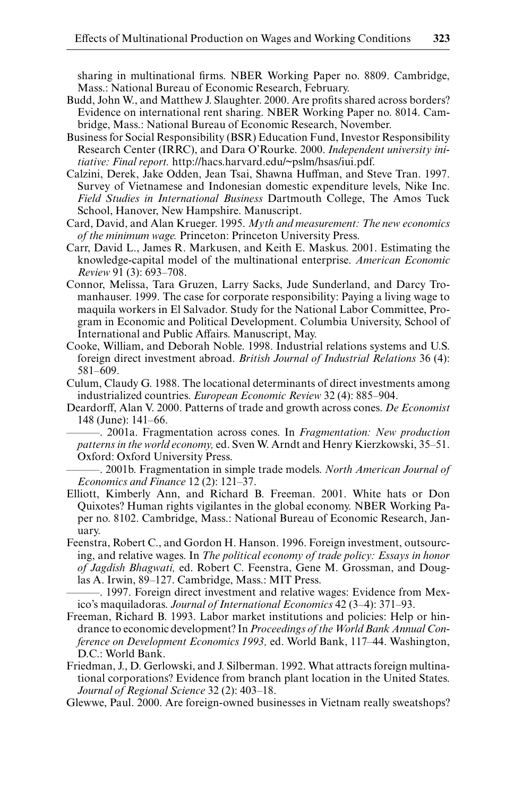sharing in multinational firms. NBER Working Paper no. 8809. Cambridge, Mass.: National Bureau of Economic Research, February.

- Budd, John W., and Matthew J. Slaughter. 2000. Are profits shared across borders? Evidence on international rent sharing. NBER Working Paper no. 8014. Cambridge, Mass.: National Bureau of Economic Research, November.
- Business for Social Responsibility (BSR) Education Fund, Investor Responsibility Research Center (IRRC), and Dara O'Rourke. 2000. *Independent university initiative: Final report.* http://hacs.harvard.edu/~pslm/hsas/iui.pdf.
- Calzini, Derek, Jake Odden, Jean Tsai, Shawna Huffman, and Steve Tran. 1997. Survey of Vietnamese and Indonesian domestic expenditure levels, Nike Inc. *Field Studies in International Business* Dartmouth College, The Amos Tuck School, Hanover, New Hampshire. Manuscript.
- Card, David, and Alan Krueger. 1995. *Myth and measurement: The new economics of the minimum wage.* Princeton: Princeton University Press.
- Carr, David L., James R. Markusen, and Keith E. Maskus. 2001. Estimating the knowledge-capital model of the multinational enterprise. *American Economic Review* 91 (3): 693–708.
- Connor, Melissa, Tara Gruzen, Larry Sacks, Jude Sunderland, and Darcy Tromanhauser. 1999. The case for corporate responsibility: Paying a living wage to maquila workers in El Salvador. Study for the National Labor Committee, Program in Economic and Political Development. Columbia University, School of International and Public Affairs. Manuscript, May.
- Cooke, William, and Deborah Noble. 1998. Industrial relations systems and U.S. foreign direct investment abroad. *British Journal of Industrial Relations* 36 (4): 581–609.
- Culum, Claudy G. 1988. The locational determinants of direct investments among industrialized countries. *European Economic Review* 32 (4): 885–904.
- Deardorff, Alan V. 2000. Patterns of trade and growth across cones. *De Economist* 148 (June): 141–66.
	- ———. 2001a. Fragmentation across cones. In *Fragmentation: New production patterns in the world economy,* ed. Sven W. Arndt and Henry Kierzkowski, 35–51. Oxford: Oxford University Press.
- ———. 2001b. Fragmentation in simple trade models. *North American Journal of Economics and Finance* 12 (2): 121–37.
- Elliott, Kimberly Ann, and Richard B. Freeman. 2001. White hats or Don Quixotes? Human rights vigilantes in the global economy. NBER Working Paper no. 8102. Cambridge, Mass.: National Bureau of Economic Research, January.
- Feenstra, Robert C., and Gordon H. Hanson. 1996. Foreign investment, outsourcing, and relative wages. In *The political economy of trade policy: Essays in honor of Jagdish Bhagwati,* ed. Robert C. Feenstra, Gene M. Grossman, and Douglas A. Irwin, 89–127. Cambridge, Mass.: MIT Press.
- -. 1997. Foreign direct investment and relative wages: Evidence from Mexico's maquiladoras. *Journal of International Economics* 42 (3–4): 371–93.
- Freeman, Richard B. 1993. Labor market institutions and policies: Help or hindrance to economic development? In *Proceedings of the World Bank Annual Conference on Development Economics 1993,* ed. World Bank, 117–44. Washington, D.C.: World Bank.
- Friedman, J., D. Gerlowski, and J. Silberman. 1992. What attracts foreign multinational corporations? Evidence from branch plant location in the United States. *Journal of Regional Science* 32 (2): 403–18.

Glewwe, Paul. 2000. Are foreign-owned businesses in Vietnam really sweatshops?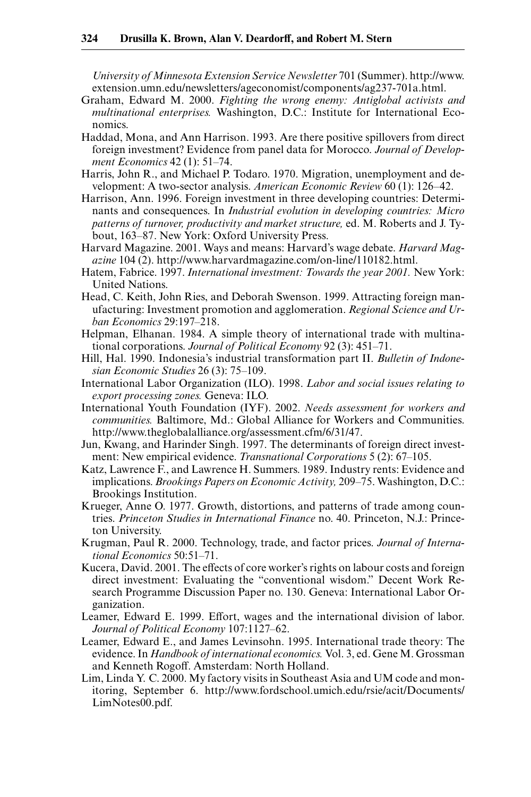*University of Minnesota Extension Service Newsletter* 701 (Summer). http://www. extension.umn.edu/newsletters/ageconomist/components/ag237-701a.html.

- Graham, Edward M. 2000. *Fighting the wrong enemy: Antiglobal activists and multinational enterprises.* Washington, D.C.: Institute for International Economics.
- Haddad, Mona, and Ann Harrison. 1993. Are there positive spillovers from direct foreign investment? Evidence from panel data for Morocco. *Journal of Development Economics* 42 (1): 51–74.
- Harris, John R., and Michael P. Todaro. 1970. Migration, unemployment and development: A two-sector analysis. *American Economic Review* 60 (1): 126–42.
- Harrison, Ann. 1996. Foreign investment in three developing countries: Determinants and consequences. In *Industrial evolution in developing countries: Micro patterns of turnover, productivity and market structure,* ed. M. Roberts and J. Tybout, 163–87. New York: Oxford University Press.
- Harvard Magazine. 2001. Ways and means: Harvard's wage debate. *Harvard Magazine* 104 (2). http://www.harvardmagazine.com/on-line/110182.html.
- Hatem, Fabrice. 1997. *International investment: Towards the year 2001.* New York: United Nations.
- Head, C. Keith, John Ries, and Deborah Swenson. 1999. Attracting foreign manufacturing: Investment promotion and agglomeration. *Regional Science and Urban Economics* 29:197–218.
- Helpman, Elhanan. 1984. A simple theory of international trade with multinational corporations. *Journal of Political Economy* 92 (3): 451–71.
- Hill, Hal. 1990. Indonesia's industrial transformation part II. *Bulletin of Indonesian Economic Studies* 26 (3): 75–109.
- International Labor Organization (ILO). 1998. *Labor and social issues relating to export processing zones.* Geneva: ILO.
- International Youth Foundation (IYF). 2002. *Needs assessment for workers and communities.* Baltimore, Md.: Global Alliance for Workers and Communities. http://www.theglobalalliance.org/assessment.cfm/6/31/47.
- Jun, Kwang, and Harinder Singh. 1997. The determinants of foreign direct investment: New empirical evidence. *Transnational Corporations* 5 (2): 67–105.
- Katz, Lawrence F., and Lawrence H. Summers. 1989. Industry rents: Evidence and implications. *Brookings Papers on Economic Activity,* 209–75. Washington, D.C.: Brookings Institution.
- Krueger, Anne O. 1977. Growth, distortions, and patterns of trade among countries. *Princeton Studies in International Finance* no. 40. Princeton, N.J.: Princeton University.
- Krugman, Paul R. 2000. Technology, trade, and factor prices. *Journal of International Economics* 50:51–71.
- Kucera, David. 2001. The effects of core worker's rights on labour costs and foreign direct investment: Evaluating the "conventional wisdom." Decent Work Research Programme Discussion Paper no. 130. Geneva: International Labor Organization.
- Leamer, Edward E. 1999. Effort, wages and the international division of labor. *Journal of Political Economy* 107:1127–62.
- Leamer, Edward E., and James Levinsohn. 1995. International trade theory: The evidence. In *Handbook of international economics.* Vol. 3, ed. Gene M. Grossman and Kenneth Rogoff. Amsterdam: North Holland.
- Lim, Linda Y. C. 2000. My factory visits in Southeast Asia and UM code and monitoring, September 6. http://www.fordschool.umich.edu/rsie/acit/Documents/ LimNotes00.pdf.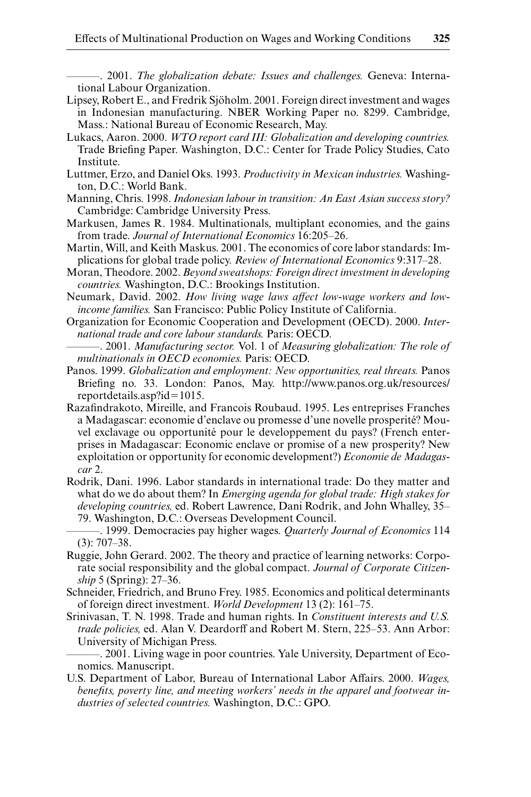———. 2001. *The globalization debate: Issues and challenges.* Geneva: International Labour Organization.

- Lipsey, Robert E., and Fredrik Sjöholm. 2001. Foreign direct investment and wages in Indonesian manufacturing. NBER Working Paper no. 8299. Cambridge, Mass.: National Bureau of Economic Research, May.
- Lukacs, Aaron. 2000. *WTO report card III: Globalization and developing countries.* Trade Briefing Paper. Washington, D.C.: Center for Trade Policy Studies, Cato Institute.
- Luttmer, Erzo, and Daniel Oks. 1993. *Productivity in Mexican industries.* Washington, D.C.: World Bank.
- Manning, Chris. 1998. *Indonesian labour in transition: An East Asian success story?* Cambridge: Cambridge University Press.
- Markusen, James R. 1984. Multinationals, multiplant economies, and the gains from trade. *Journal of International Economics* 16:205–26.
- Martin, Will, and Keith Maskus. 2001. The economics of core labor standards: Implications for global trade policy. *Review of International Economics* 9:317–28.
- Moran, Theodore. 2002. *Beyond sweatshops: Foreign direct investment in developing countries.* Washington, D.C.: Brookings Institution.
- Neumark, David. 2002. *How living wage laws affect low-wage workers and lowincome families.* San Francisco: Public Policy Institute of California.
- Organization for Economic Cooperation and Development (OECD). 2000. *International trade and core labour standards.* Paris: OECD.
- ———. 2001. *Manufacturing sector.* Vol. 1 of *Measuring globalization: The role of multinationals in OECD economies.* Paris: OECD.
- Panos. 1999. *Globalization and employment: New opportunities, real threats.* Panos Briefing no. 33. London: Panos, May. http://www.panos.org.uk/resources/  $report details. as p?id=1015.$
- Razafindrakoto, Mireille, and Francois Roubaud. 1995. Les entreprises Franches a Madagascar: economie d'enclave ou promesse d'une novelle prosperité? Mouvel exclavage ou opportunité pour le developpement du pays? (French enterprises in Madagascar: Economic enclave or promise of a new prosperity? New exploitation or opportunity for economic development?) *Economie de Madagascar* 2.
- Rodrik, Dani. 1996. Labor standards in international trade: Do they matter and what do we do about them? In *Emerging agenda for global trade: High stakes for developing countries,* ed. Robert Lawrence, Dani Rodrik, and John Whalley, 35– 79. Washington, D.C.: Overseas Development Council.
- ———. 1999. Democracies pay higher wages. *Quarterly Journal of Economics* 114 (3): 707–38.
- Ruggie, John Gerard. 2002. The theory and practice of learning networks: Corporate social responsibility and the global compact. *Journal of Corporate Citizenship* 5 (Spring): 27–36.
- Schneider, Friedrich, and Bruno Frey. 1985. Economics and political determinants of foreign direct investment. *World Development* 13 (2): 161–75.
- Srinivasan, T. N. 1998. Trade and human rights. In *Constituent interests and U.S. trade policies,* ed. Alan V. Deardorff and Robert M. Stern, 225–53. Ann Arbor: University of Michigan Press.
- ———. 2001. Living wage in poor countries. Yale University, Department of Economics. Manuscript.
- U.S. Department of Labor, Bureau of International Labor Affairs. 2000. *Wages, benefits, poverty line, and meeting workers' needs in the apparel and footwear industries of selected countries.* Washington, D.C.: GPO.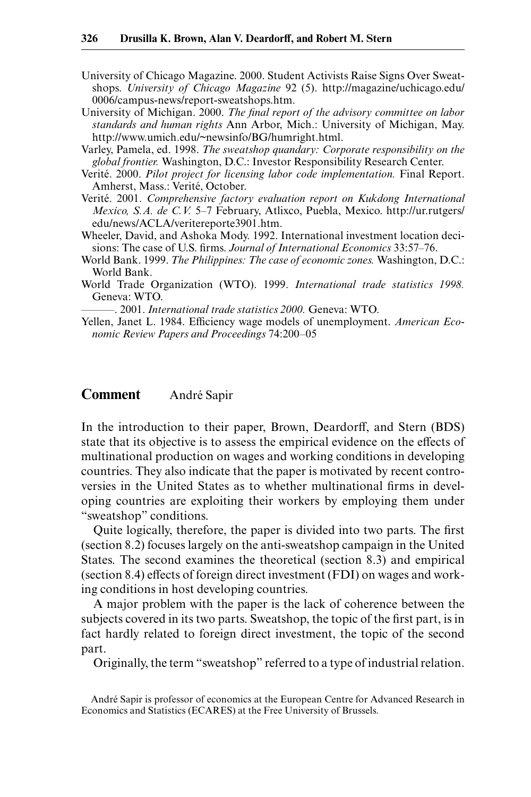- University of Chicago Magazine. 2000. Student Activists Raise Signs Over Sweatshops. *University of Chicago Magazine* 92 (5). http://magazine/uchicago.edu/ 0006/campus-news/report-sweatshops.htm.
- University of Michigan. 2000. *The final report of the advisory committee on labor standards and human rights* Ann Arbor, Mich.: University of Michigan, May. http://www.umich.edu/~newsinfo/BG/humright.html.
- Varley, Pamela, ed. 1998. *The sweatshop quandary: Corporate responsibility on the global frontier.* Washington, D.C.: Investor Responsibility Research Center.
- Verité. 2000. *Pilot project for licensing labor code implementation.* Final Report. Amherst, Mass.: Verité, October.
- Verité. 2001. *Comprehensive factory evaluation report on Kukdong International Mexico, S.A. de C.V.* 5–7 February, Atlixco, Puebla, Mexico. http://ur.rutgers/ edu/news/ACLA/veritereporte3901.htm.
- Wheeler, David, and Ashoka Mody. 1992. International investment location decisions: The case of U.S. firms. *Journal of International Economics* 33:57–76.
- World Bank. 1999. *The Philippines: The case of economic zones.* Washington, D.C.: World Bank.
- World Trade Organization (WTO). 1999. *International trade statistics 1998.* Geneva: WTO.

———. 2001. *International trade statistics 2000.* Geneva: WTO.

Yellen, Janet L. 1984. Efficiency wage models of unemployment. *American Economic Review Papers and Proceedings* 74:200–05

# **Comment** André Sapir

In the introduction to their paper, Brown, Deardorff, and Stern (BDS) state that its objective is to assess the empirical evidence on the effects of multinational production on wages and working conditions in developing countries. They also indicate that the paper is motivated by recent controversies in the United States as to whether multinational firms in developing countries are exploiting their workers by employing them under "sweatshop" conditions.

Quite logically, therefore, the paper is divided into two parts. The first (section 8.2) focuses largely on the anti-sweatshop campaign in the United States. The second examines the theoretical (section 8.3) and empirical (section 8.4) effects of foreign direct investment (FDI) on wages and working conditions in host developing countries.

A major problem with the paper is the lack of coherence between the subjects covered in its two parts. Sweatshop, the topic of the first part, is in fact hardly related to foreign direct investment, the topic of the second part.

Originally, the term "sweatshop" referred to a type of industrial relation.

André Sapir is professor of economics at the European Centre for Advanced Research in Economics and Statistics (ECARES) at the Free University of Brussels.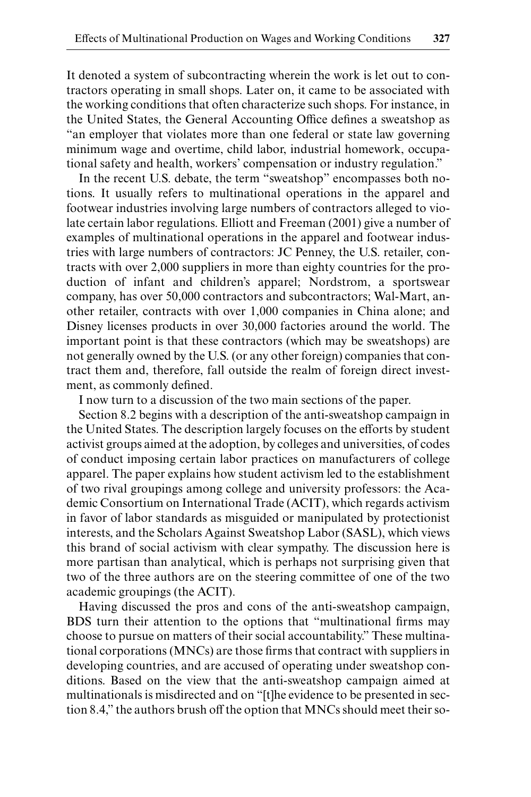It denoted a system of subcontracting wherein the work is let out to contractors operating in small shops. Later on, it came to be associated with the working conditions that often characterize such shops. For instance, in the United States, the General Accounting Office defines a sweatshop as "an employer that violates more than one federal or state law governing minimum wage and overtime, child labor, industrial homework, occupational safety and health, workers' compensation or industry regulation."

In the recent U.S. debate, the term "sweatshop" encompasses both notions. It usually refers to multinational operations in the apparel and footwear industries involving large numbers of contractors alleged to violate certain labor regulations. Elliott and Freeman (2001) give a number of examples of multinational operations in the apparel and footwear industries with large numbers of contractors: JC Penney, the U.S. retailer, contracts with over 2,000 suppliers in more than eighty countries for the production of infant and children's apparel; Nordstrom, a sportswear company, has over 50,000 contractors and subcontractors; Wal-Mart, another retailer, contracts with over 1,000 companies in China alone; and Disney licenses products in over 30,000 factories around the world. The important point is that these contractors (which may be sweatshops) are not generally owned by the U.S. (or any other foreign) companies that contract them and, therefore, fall outside the realm of foreign direct investment, as commonly defined.

I now turn to a discussion of the two main sections of the paper.

Section 8.2 begins with a description of the anti-sweatshop campaign in the United States. The description largely focuses on the efforts by student activist groups aimed at the adoption, by colleges and universities, of codes of conduct imposing certain labor practices on manufacturers of college apparel. The paper explains how student activism led to the establishment of two rival groupings among college and university professors: the Academic Consortium on International Trade (ACIT), which regards activism in favor of labor standards as misguided or manipulated by protectionist interests, and the Scholars Against Sweatshop Labor (SASL), which views this brand of social activism with clear sympathy. The discussion here is more partisan than analytical, which is perhaps not surprising given that two of the three authors are on the steering committee of one of the two academic groupings (the ACIT).

Having discussed the pros and cons of the anti-sweatshop campaign, BDS turn their attention to the options that "multinational firms may choose to pursue on matters of their social accountability." These multinational corporations (MNCs) are those firms that contract with suppliers in developing countries, and are accused of operating under sweatshop conditions. Based on the view that the anti-sweatshop campaign aimed at multinationals is misdirected and on "[t]he evidence to be presented in section 8.4," the authors brush off the option that MNCs should meet their so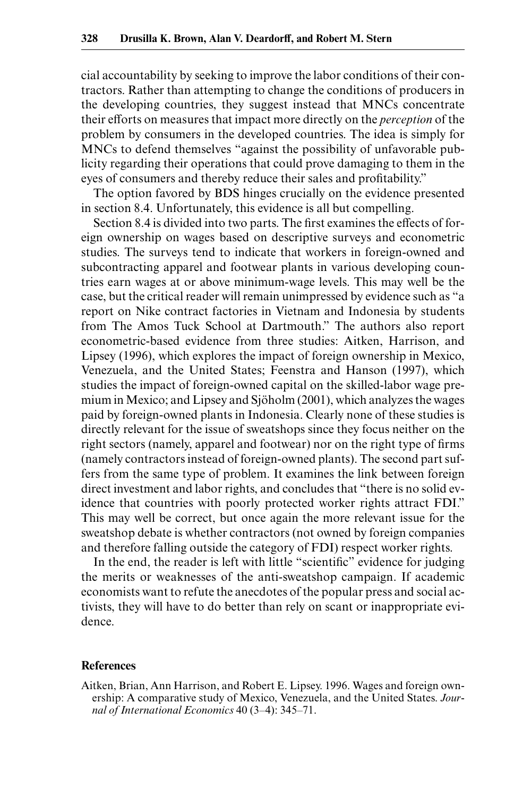cial accountability by seeking to improve the labor conditions of their contractors. Rather than attempting to change the conditions of producers in the developing countries, they suggest instead that MNCs concentrate their efforts on measures that impact more directly on the *perception* of the problem by consumers in the developed countries. The idea is simply for MNCs to defend themselves "against the possibility of unfavorable publicity regarding their operations that could prove damaging to them in the eyes of consumers and thereby reduce their sales and profitability."

The option favored by BDS hinges crucially on the evidence presented in section 8.4. Unfortunately, this evidence is all but compelling.

Section 8.4 is divided into two parts. The first examines the effects of foreign ownership on wages based on descriptive surveys and econometric studies. The surveys tend to indicate that workers in foreign-owned and subcontracting apparel and footwear plants in various developing countries earn wages at or above minimum-wage levels. This may well be the case, but the critical reader will remain unimpressed by evidence such as "a report on Nike contract factories in Vietnam and Indonesia by students from The Amos Tuck School at Dartmouth." The authors also report econometric-based evidence from three studies: Aitken, Harrison, and Lipsey (1996), which explores the impact of foreign ownership in Mexico, Venezuela, and the United States; Feenstra and Hanson (1997), which studies the impact of foreign-owned capital on the skilled-labor wage premium in Mexico; and Lipsey and Sjöholm (2001), which analyzes the wages paid by foreign-owned plants in Indonesia. Clearly none of these studies is directly relevant for the issue of sweatshops since they focus neither on the right sectors (namely, apparel and footwear) nor on the right type of firms (namely contractors instead of foreign-owned plants). The second part suffers from the same type of problem. It examines the link between foreign direct investment and labor rights, and concludes that "there is no solid evidence that countries with poorly protected worker rights attract FDI." This may well be correct, but once again the more relevant issue for the sweatshop debate is whether contractors (not owned by foreign companies and therefore falling outside the category of FDI) respect worker rights.

In the end, the reader is left with little "scientific" evidence for judging the merits or weaknesses of the anti-sweatshop campaign. If academic economists want to refute the anecdotes of the popular press and social activists, they will have to do better than rely on scant or inappropriate evidence.

#### **References**

Aitken, Brian, Ann Harrison, and Robert E. Lipsey. 1996. Wages and foreign ownership: A comparative study of Mexico, Venezuela, and the United States. *Journal of International Economics* 40 (3–4): 345–71.